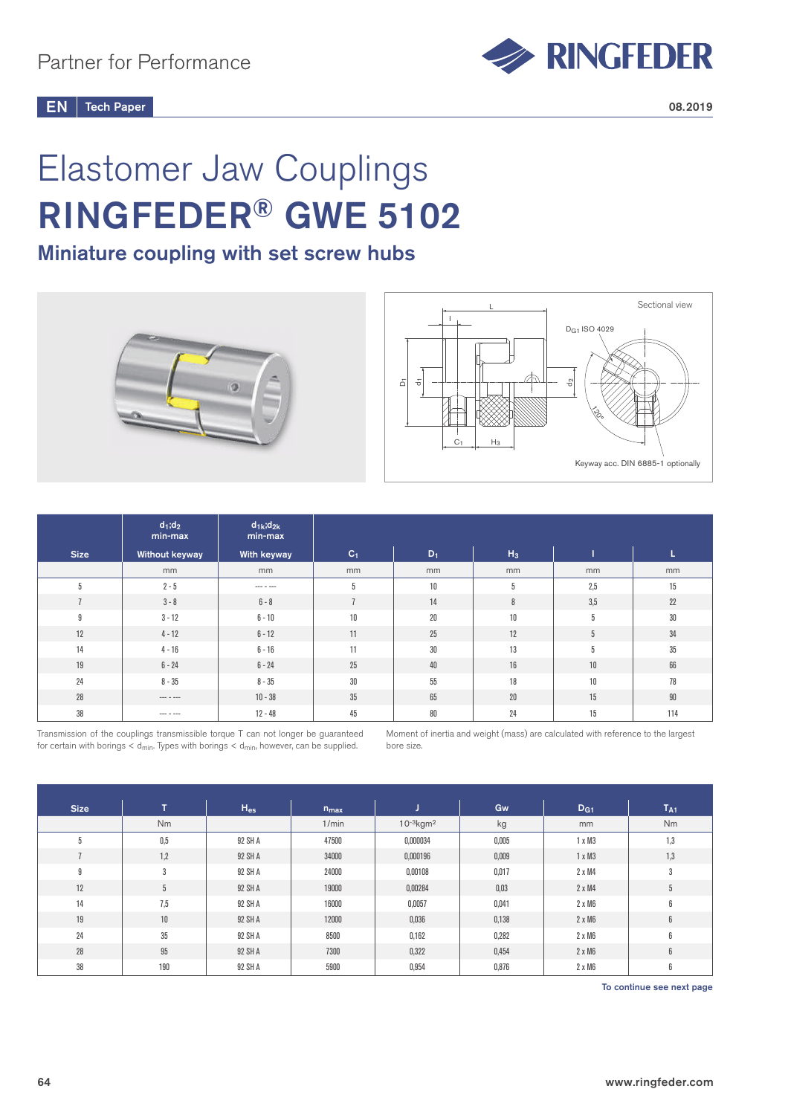

# Elastomer Jaw Couplings RINGFEDER® GWE 5102

# Miniature coupling with set screw hubs





|                | $d_1; d_2$<br>min-max | $d_{1k}$ ; $d_{2k}$<br>min-max |                |        |        |     |        |
|----------------|-----------------------|--------------------------------|----------------|--------|--------|-----|--------|
| <b>Size</b>    | Without keyway        | With keyway                    | C <sub>1</sub> | $D_1$  | $H_3$  |     | ш      |
|                | mm                    | mm                             | mm             | mm     | mm     | mm  | mm     |
| 5              | $2 - 5$               |                                | 5              | 10     | 5      | 2,5 | 15     |
| $\overline{7}$ | $3 - 8$               | $6 - 8$                        |                | 14     | 8      | 3,5 | 22     |
| 9              | $3 - 12$              | $6 - 10$                       | 10             | $20\,$ | 10     | 5   | $30\,$ |
| 12             | $4 - 12$              | $6 - 12$                       | 11             | 25     | 12     | 5   | 34     |
| 14             | $4 - 16$              | $6 - 16$                       | 11             | 30     | 13     | 5   | 35     |
| 19             | $6 - 24$              | $6 - 24$                       | 25             | 40     | 16     | 10  | 66     |
| 24             | $8 - 35$              | $8 - 35$                       | 30             | 55     | 18     | 10  | 78     |
| 28             | --- - ---             | $10 - 38$                      | 35             | 65     | $20\,$ | 15  | $90\,$ |
| 38             | --- - ---             | $12 - 48$                      | 45             | 80     | 24     | 15  | 114    |

Transmission of the couplings transmissible torque T can not longer be guaranteed for certain with borings  $<$  d<sub>min</sub>. Types with borings  $<$  d<sub>min</sub>, however, can be supplied.

Moment of inertia and weight (mass) are calculated with reference to the largest bore size.

| <b>Size</b> | $\mathsf{T}$ | $H_{es}$ | $n_{max}$ | J.                         | Gw    | D <sub>G1</sub> | $T_{A1}$  |
|-------------|--------------|----------|-----------|----------------------------|-------|-----------------|-----------|
|             | Nm           |          | 1/min     | $10^{-3}$ kgm <sup>2</sup> | kg    | mm              | <b>Nm</b> |
| 5           | 0,5          | 92 SH A  | 47500     | 0,000034                   | 0,005 | $1 \times M3$   | 1,3       |
|             | 1,2          | 92 SH A  | 34000     | 0,000196                   | 0,009 | $1 \times M3$   | 1,3       |
| 9           | 3            | 92 SH A  | 24000     | 0,00108                    | 0,017 | $2 \times M4$   | 3         |
| 12          | 5            | 92 SH A  | 19000     | 0,00284                    | 0,03  | $2 \times M4$   | 5         |
| 14          | 7,5          | 92 SH A  | 16000     | 0,0057                     | 0,041 | $2 \times M6$   | 6         |
| 19          | 10           | 92 SH A  | 12000     | 0,036                      | 0,138 | $2 \times M6$   | 6         |
| 24          | 35           | 92 SH A  | 8500      | 0,162                      | 0,282 | $2 \times M6$   | 6         |
| 28          | 95           | 92 SH A  | 7300      | 0,322                      | 0,454 | $2 \times M6$   | 6         |
| 38          | 190          | 92 SH A  | 5900      | 0,954                      | 0,876 | $2 \times M6$   | 6         |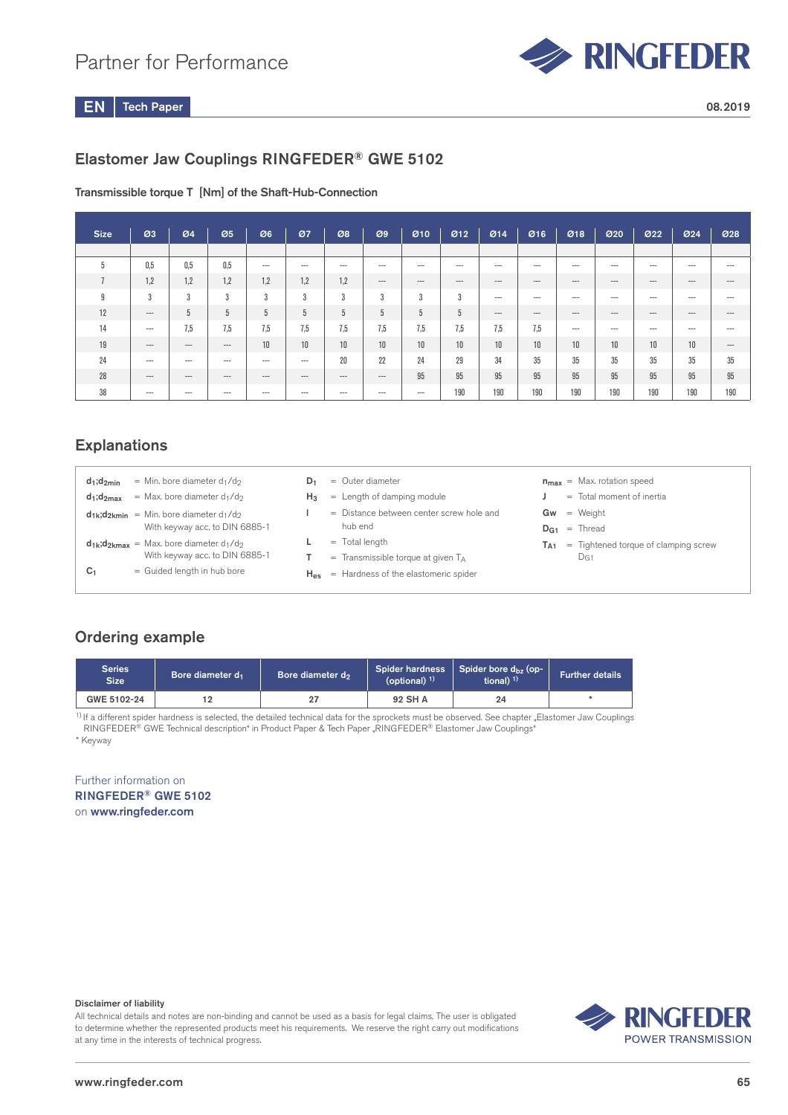## Partner for Performance



Tech Paper  $EN$  Tech Paper 2008.2019

## Elastomer Jaw Couplings RINGFEDER® GWE 5102

#### Transmissible torque T [Nm] of the Shaft-Hub-Connection

| <b>Size</b>    | Ø3       | 04       | Ø5       | Ø6       | 07       | Ø8    | Ø9    | 010     | 012   | Ø14     | Ø16     | 018   | 020     | 022     | 024   | 028   |
|----------------|----------|----------|----------|----------|----------|-------|-------|---------|-------|---------|---------|-------|---------|---------|-------|-------|
|                |          |          |          |          |          |       |       |         |       |         |         |       |         |         |       |       |
| 5              | 0,5      | 0,5      | 0.5      | $--$     | $--$     | $--$  | $---$ | $--$    | $--$  | $- - -$ | $- - -$ | $---$ | $- - -$ | $---$   | $---$ | $---$ |
| $\overline{ }$ | 1,2      | 1,2      | 1,2      | 1,2      | 1,2      | 1,2   | $--$  | $- - -$ | $---$ | $---$   | $---$   | $---$ | $- - -$ | $---$   | $---$ | $---$ |
| 9              | 3        | 3        | 3        | 3        | 3        | 3     | 3     | 3       | 3     | $---$   | $---$   | $---$ | $--$    | $---$   | $---$ | $---$ |
| 12             | $\cdots$ | 5        | 5        | 5        | 5        | 5     | 5     | 5       | 5     | $- - -$ | $---$   | $---$ | $- - -$ | $- - -$ | $---$ | $---$ |
| 14             | $---$    | 7,5      | 7.5      | 7.5      | 7,5      | 7,5   | 7,5   | 7,5     | 7,5   | 7,5     | 7,5     | $---$ | $- - -$ | $- - -$ | $---$ | $---$ |
| 19             | $\cdots$ | $\cdots$ | $---$    | 10       | 10       | 10    | 10    | 10      | 10    | 10      | 10      | 10    | 10      | 10      | 10    | $---$ |
| 24             | $--$     | ---      | $--$     | $--$     | $--$     | 20    | 22    | 24      | 29    | 34      | 35      | 35    | 35      | 35      | 35    | 35    |
| 28             | $---$    | $\cdots$ | $\cdots$ | $\cdots$ | $\cdots$ | $---$ | $---$ | 95      | 95    | 95      | 95      | 95    | 95      | 95      | 95    | 95    |
| 38             | $--$     | $--$     | $--$     | $--$     | $--$     | $---$ | $---$ | $---$   | 190   | 190     | 190     | 190   | 190     | 190     | 190   | 190   |

## **Explanations**

| = Min. bore diameter $d_1/d_2$<br>$d_1$ ; $d_{2min}$                        | $=$ Outer diameter<br>D1                             | $n_{max}$ = Max. rotation speed               |
|-----------------------------------------------------------------------------|------------------------------------------------------|-----------------------------------------------|
| $=$ Max, bore diameter d <sub>1</sub> /d <sub>2</sub><br>$d_1$ ; $d_{2max}$ | $=$ Length of damping module<br>Hз.                  | Total moment of inertia<br>$=$                |
| $d_{1k}$ ; $d_{2kmin}$ = Min. bore diameter $d_1/d_2$                       | = Distance between center screw hole and             | $=$ Weight<br>Gw                              |
| With keyway acc. to DIN 6885-1                                              | hub end                                              | $=$ Thread<br>DG1.                            |
| $d_{1k}$ ; $d_{2kmax}$ = Max. bore diameter $d_1/d_2$                       | $=$ Total length                                     | $=$ Tightened torque of clamping screw<br>TA1 |
| With keyway acc. to DIN 6885-1                                              | $=$ Transmissible torque at given $T_A$              | DG1                                           |
| = Guided length in hub bore<br>C <sub>1</sub>                               | $H_{\text{es}}$ = Hardness of the elastomeric spider |                                               |
|                                                                             |                                                      |                                               |

## Ordering example

| <b>Series</b><br><b>Size</b> | Bore diameter d <sub>1</sub> | Bore diameter d <sub>2</sub> | <b>Spider hardness</b><br>(optional) $1$ ) | Spider bore d <sub>bz</sub> (op-<br>tional) $1$ ) | <b>Further details</b> |
|------------------------------|------------------------------|------------------------------|--------------------------------------------|---------------------------------------------------|------------------------|
| GWE 5102-24                  | 12                           | 27                           | 92 SH A                                    | 24                                                |                        |

\* Keyway <sup>1)</sup> If a different spider hardness is selected, the detailed technical data for the sprockets must be observed. See chapter "Elastomer Jaw Couplings RINGFEDER® GWE Technical description" in Product Paper & Tech Paper "RINGFEDER® Elastomer Jaw Couplings"

Further information on RINGFEDER® GWE 5102 on www.ringfeder.com

#### Disclaimer of liability

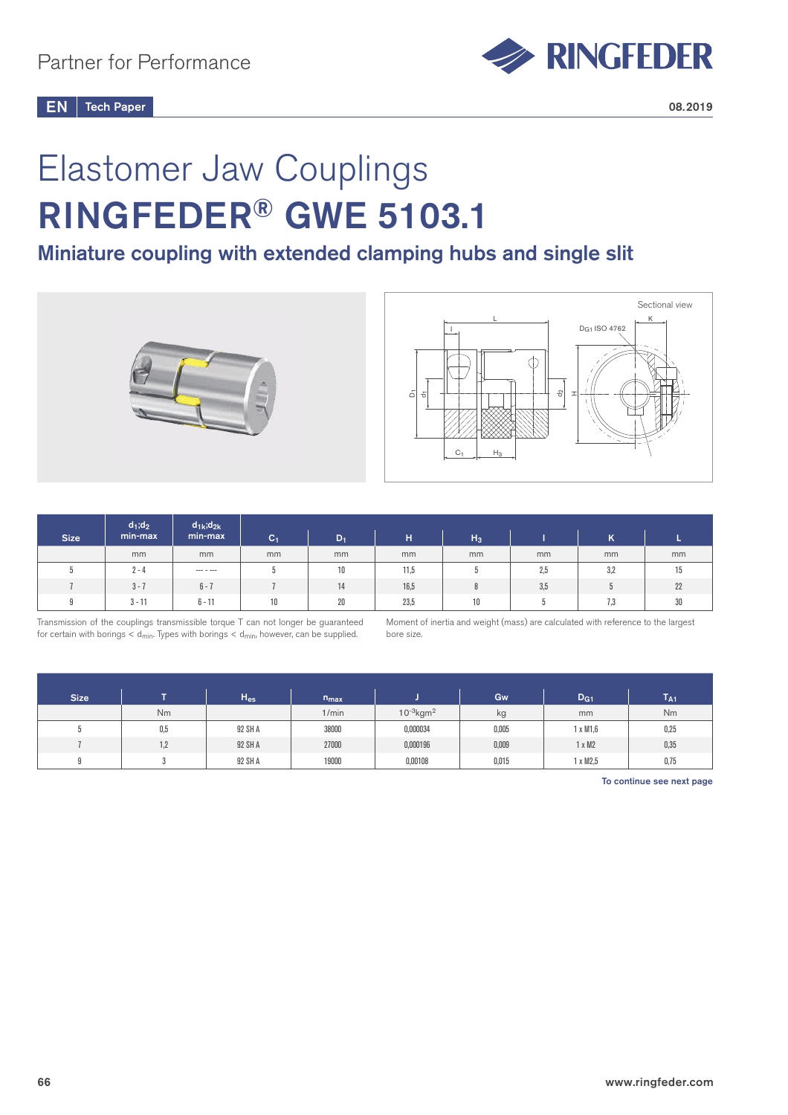

# Elastomer Jaw Couplings RINGFEDER® GWE 5103.1

## Miniature coupling with extended clamping hubs and single slit





|             | $d_1; d_2$ | $d_{1k}$ ; $d_{2k}$ |         |       |      |       |     |     |    |
|-------------|------------|---------------------|---------|-------|------|-------|-----|-----|----|
| <b>Size</b> | min-max    | min-max             | $ C_1 $ | $D_1$ | н    | $H_3$ |     | ĸ   |    |
|             | mm         | mm                  | mm      | mm    | mm   | mm    | mm  | mm  | mm |
|             | $2 - 4$    | $--- - - ---$       |         | 10    | 11,5 |       | 2,5 | 3,2 | ΙJ |
|             | $3 - 7$    | $6 - 7$             |         | 14    | 16,5 |       | 3,5 |     | 22 |
| 0           | $3 - 11$   | $6 - 11$            | 10      | 20    | 23,5 | 10    |     | 7.3 | 30 |

Transmission of the couplings transmissible torque T can not longer be guaranteed for certain with borings  $<$  d<sub>min</sub>. Types with borings  $<$  d<sub>min</sub>, however, can be supplied.

Moment of inertia and weight (mass) are calculated with reference to the largest bore size.

| <b>Size</b> |     | $H_{es}$ | $n_{max}$ |                            | Gw    | D <sub>G1</sub> | $T_{A1}$ |
|-------------|-----|----------|-----------|----------------------------|-------|-----------------|----------|
|             | Nm  |          | 1/min     | $10^{-3}$ kgm <sup>2</sup> | kg    | mm              | Nm       |
|             | 0,5 | 92 SH A  | 38000     | 0,000034                   | 0,005 | $1 \times M1.6$ | 0,25     |
|             | 1,2 | 92 SH A  | 27000     | 0,000196                   | 0,009 | x M2            | 0,35     |
|             |     | 92 SH A  | 19000     | 0,00108                    | 0,015 | 1 x M2,5        | 0,75     |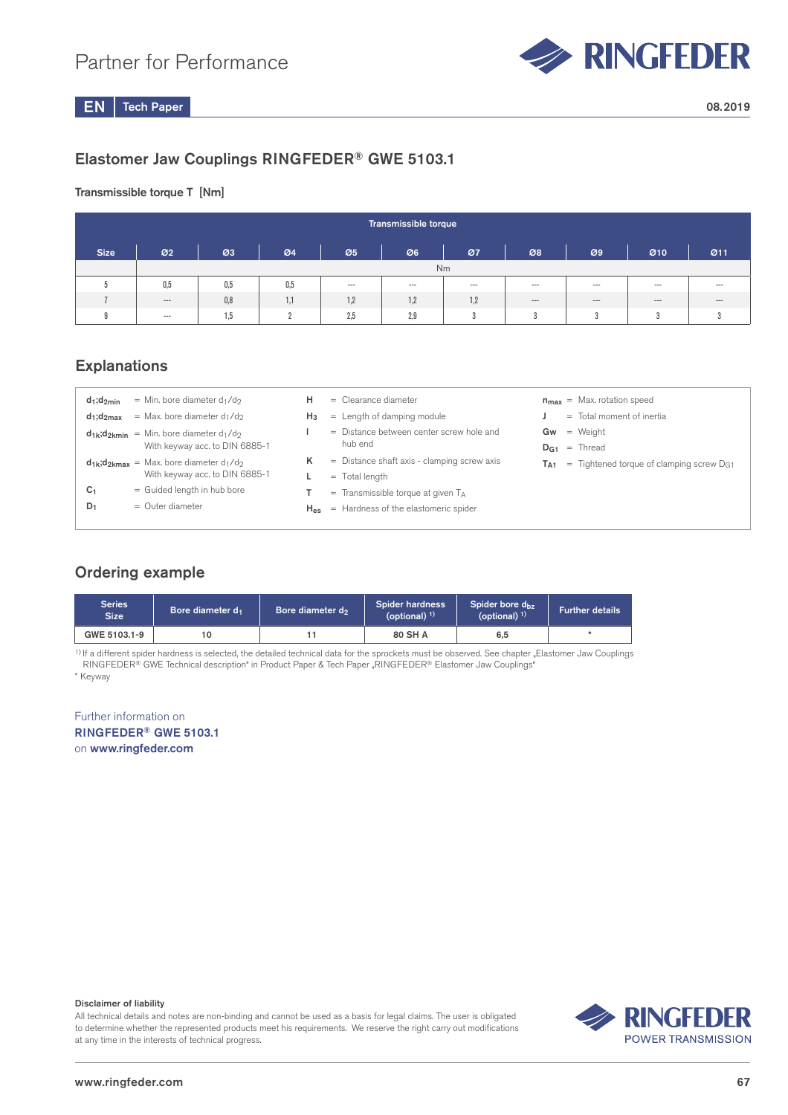

## Elastomer Jaw Couplings RINGFEDER® GWE 5103.1

Transmissible torque T [Nm]

|             | Transmissible torque     |     |     |         |       |      |                 |                            |       |          |  |  |
|-------------|--------------------------|-----|-----|---------|-------|------|-----------------|----------------------------|-------|----------|--|--|
| <b>Size</b> | 02                       | Ø3  | Ø4  | Ø5      | Ø6    | 07   | 08              | $\boldsymbol{\varnothing}$ | 010   | Ø11      |  |  |
|             |                          | Nm  |     |         |       |      |                 |                            |       |          |  |  |
| 5           | 0,5                      | 0,5 | 0,5 | $- - -$ | $---$ | $--$ | $---$           | $--$                       | $---$ | $--$     |  |  |
|             | $\hspace{0.05cm} \ldots$ | 0,8 | 1,1 | 1,2     | 1,2   | 1,2  | $---$           | $- - -$                    | $---$ | $\cdots$ |  |  |
| 9           | $- - -$                  | 1.5 |     | 2,5     | 2,9   | 3    | $^{\circ}$<br>u | 3                          |       |          |  |  |

## **Explanations**

| $d_1; d_{2min}$ | $=$ Min. bore diameter $d_1/d_2$                      | н     | $=$ Clearance diameter                        |     | $n_{max}$ = Max. rotation speed                        |
|-----------------|-------------------------------------------------------|-------|-----------------------------------------------|-----|--------------------------------------------------------|
| $d_1; d_{2max}$ | $=$ Max, bore diameter d <sub>1</sub> /d <sub>2</sub> | $H_3$ | $=$ Length of damping module                  |     | $=$ Total moment of inertia                            |
|                 | $d_{1k}$ ; $d_{2kmin}$ = Min. bore diameter $d_1/d_2$ |       | = Distance between center screw hole and      | Gw  | = Weight                                               |
|                 | With keyway acc. to DIN 6885-1                        |       | hub end                                       |     | $D_{G1}$ = Thread                                      |
|                 | $d_{1k}$ ; $d_{2kmax}$ = Max. bore diameter $d_1/d_2$ | κ     | $=$ Distance shaft axis - clamping screw axis | Ta1 | $=$ Tightened torque of clamping screw D <sub>G1</sub> |
|                 | With keyway acc. to DIN 6885-1                        |       | $=$ Total length                              |     |                                                        |
| C <sub>1</sub>  | = Guided length in hub bore                           |       | $=$ Transmissible torque at given $T_A$       |     |                                                        |
| $D_1$           | $=$ Outer diameter                                    | Hes   | = Hardness of the elastomeric spider          |     |                                                        |
|                 |                                                       |       |                                               |     |                                                        |

## Ordering example

| Series<br><b>Size</b> | Bore diameter d <sub>1</sub> | Bore diameter d <sub>2</sub> |         | Spider bore d <sub>bz</sub><br>(optional) $1$ ) | <b>Further details</b> |
|-----------------------|------------------------------|------------------------------|---------|-------------------------------------------------|------------------------|
| GWE 5103.1-9          |                              |                              | 80 SH A | 6,5                                             |                        |

\* Keyway <sup>1)</sup> If a different spider hardness is selected, the detailed technical data for the sprockets must be observed. See chapter "Elastomer Jaw Couplings RINGFEDER® GWE Technical description" in Product Paper & Tech Paper "RINGFEDER® Elastomer Jaw Couplings"

Further information on RINGFEDER® GWE 5103.1 on www.ringfeder.com

#### Disclaimer of liability

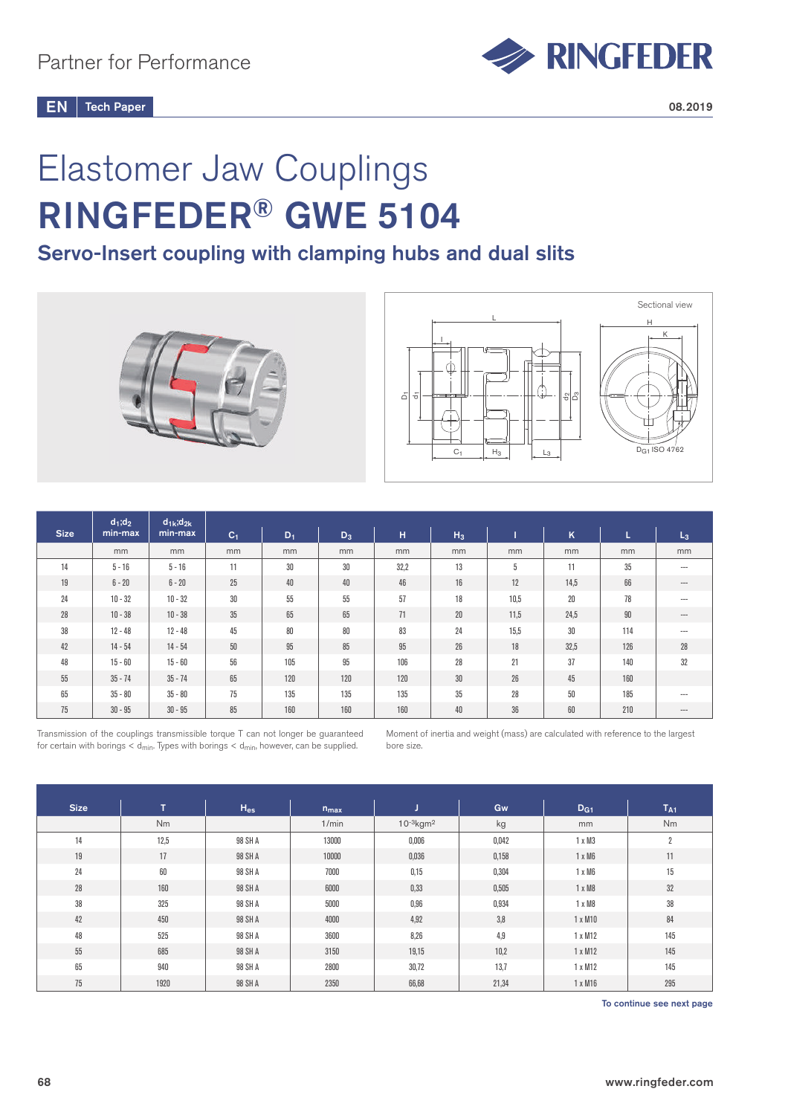

# Elastomer Jaw Couplings RINGFEDER® GWE 5104

## Servo-Insert coupling with clamping hubs and dual slits





|             | $d_1; d_2$ | $d_{1k}$ ; $d_{2k}$ |                |       |       |      |                |      |      |     |          |
|-------------|------------|---------------------|----------------|-------|-------|------|----------------|------|------|-----|----------|
| <b>Size</b> | min-max    | min-max             | C <sub>1</sub> | $D_1$ | $D_3$ | H    | H <sub>3</sub> |      | K    | ш   | $L_3$    |
|             | mm         | mm                  | mm             | mm    | mm    | mm   | mm             | mm   | mm   | mm  | mm       |
| 14          | $5 - 16$   | $5 - 16$            | 11             | 30    | 30    | 32,2 | 13             | 5    | 11   | 35  | $---$    |
| 19          | $6 - 20$   | $6 - 20$            | 25             | 40    | 40    | 46   | 16             | 12   | 14,5 | 66  | $\cdots$ |
| 24          | $10 - 32$  | $10 - 32$           | 30             | 55    | 55    | 57   | 18             | 10.5 | 20   | 78  | $---$    |
| 28          | $10 - 38$  | $10 - 38$           | 35             | 65    | 65    | 71   | 20             | 11,5 | 24,5 | 90  | $---$    |
| 38          | $12 - 48$  | $12 - 48$           | 45             | 80    | 80    | 83   | 24             | 15,5 | 30   | 114 | $---$    |
| 42          | $14 - 54$  | $14 - 54$           | $50\,$         | 95    | 85    | 95   | 26             | 18   | 32,5 | 126 | 28       |
| 48          | $15 - 60$  | $15 - 60$           | 56             | 105   | 95    | 106  | 28             | 21   | 37   | 140 | 32       |
| 55          | $35 - 74$  | $35 - 74$           | 65             | 120   | 120   | 120  | 30             | 26   | 45   | 160 |          |
| 65          | $35 - 80$  | $35 - 80$           | 75             | 135   | 135   | 135  | 35             | 28   | 50   | 185 | $---$    |
| 75          | $30 - 95$  | $30 - 95$           | 85             | 160   | 160   | 160  | 40             | 36   | 60   | 210 | $---$    |

Transmission of the couplings transmissible torque T can not longer be guaranteed for certain with borings  $<$  d<sub>min</sub>. Types with borings  $<$  d<sub>min</sub>, however, can be supplied.

Moment of inertia and weight (mass) are calculated with reference to the largest bore size.

| <b>Size</b> | T.        | $H_{es}$ | $n_{max}$ |                            | Gw    | D <sub>G1</sub> | T <sub>A1</sub> |
|-------------|-----------|----------|-----------|----------------------------|-------|-----------------|-----------------|
|             | <b>Nm</b> |          | 1/min     | $10^{-3}$ kgm <sup>2</sup> | kg    | mm              | Nm              |
| 14          | 12,5      | 98 SH A  | 13000     | 0,006                      | 0,042 | $1 \times M3$   | $\overline{2}$  |
| 19          | 17        | 98 SH A  | 10000     | 0,036                      | 0,158 | $1 \times M6$   | 11              |
| 24          | 60        | 98 SH A  | 7000      | 0,15                       | 0,304 | $1 \times M6$   | 15              |
| 28          | 160       | 98 SH A  | 6000      | 0,33                       | 0,505 | $1 \times M8$   | 32              |
| 38          | 325       | 98 SH A  | 5000      | 0,96                       | 0,934 | 1 x M8          | 38              |
| 42          | 450       | 98 SH A  | 4000      | 4,92                       | 3,8   | 1 x M10         | 84              |
| 48          | 525       | 98 SH A  | 3600      | 8,26                       | 4,9   | 1 x M12         | 145             |
| $55\,$      | 685       | 98 SH A  | 3150      | 19,15                      | 10,2  | 1 x M12         | 145             |
| 65          | 940       | 98 SH A  | 2800      | 30,72                      | 13,7  | 1 x M12         | 145             |
| 75          | 1920      | 98 SH A  | 2350      | 66,68                      | 21,34 | 1 x M16         | 295             |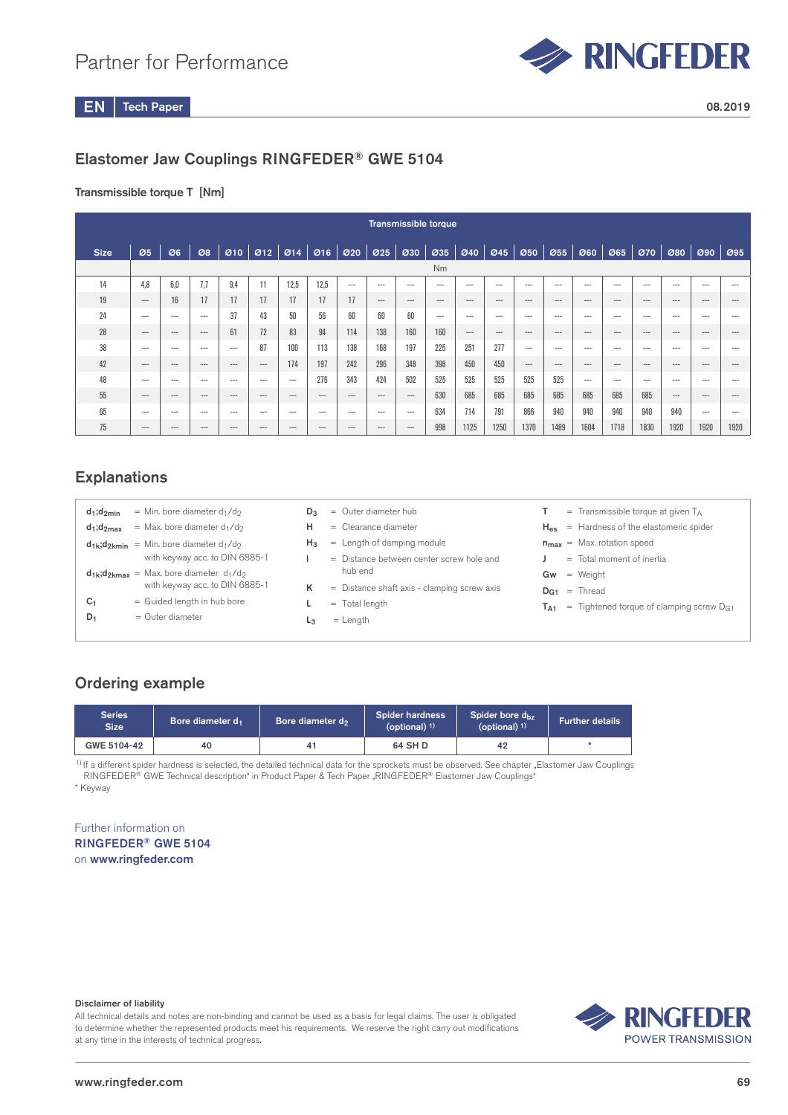

## Elastomer Jaw Couplings RINGFEDER® GWE 5104

## Transmissible torque T [Nm]

|             | <b>Transmissible torque</b> |          |       |          |           |       |           |               |       |       |                |       |       |                                          |          |                 |                  |                        |       |        |          |
|-------------|-----------------------------|----------|-------|----------|-----------|-------|-----------|---------------|-------|-------|----------------|-------|-------|------------------------------------------|----------|-----------------|------------------|------------------------|-------|--------|----------|
| <b>Size</b> | 05                          | Ø6       | 08    |          | 910   912 |       | 914   916 | $\boxed{020}$ | 025   |       |                |       |       |                                          |          | $\mathcal{O}60$ | $\varnothing$ 65 | 070                    | 080   | 090    | 095      |
|             |                             |          |       |          |           |       |           |               |       |       | N <sub>m</sub> |       |       |                                          |          |                 |                  |                        |       |        |          |
| 14          | 4.8                         | 6.0      | 7.7   | 9.4      |           | 12.5  | 12.5      | $---$         | $---$ | $---$ | $---$          | $---$ | $---$ | $---$                                    | $---$    | $---$           | $---$            | ---                    | $---$ | $---$  | ---      |
| 19          | $---$                       | 16       | 17    | 17       | 17        | 17    | 17        | 17            | $---$ | $---$ | $---$          | $---$ | $---$ | $---$                                    | $---$    | $---$           | $---$            | $\qquad \qquad \cdots$ | $---$ | $---$  | $---$    |
| 24          | $--$                        | $---$    | $---$ | 37       | 43        | 50    | 56        | 60            | 60    | 60    | $---$          | $---$ | $--$  | $---$                                    | $---$    | $---$           | $---$            | $---$                  | $---$ | ---    | $---$    |
| 28          | $\qquad \qquad \cdots$      | $\cdots$ | $---$ | 61       | 72        | 83    | 94        | 114           | 138   | 160   | 160            | $---$ | $---$ | $---$                                    | $---$    | $---$           | $---$            | $---$                  | $---$ | $---$  | $---$    |
| 38          | $---$                       | $---$    | $---$ | $---$    | 87        | 100   | 113       | 138           | 168   | 197   | 225            | 251   | 277   | $---$                                    | $- - -$  | $--$            | $---$            | $--$                   | $---$ | ---    | ---      |
| 42          | $---$                       | $\cdots$ | $---$ | $---$    | $---$     | 174   | 197       | 242           | 296   | 348   | 398            | 450   | 450   | $\hspace{0.05cm} \ldots \hspace{0.05cm}$ | $\cdots$ | $---$           | $\cdots$         | $---$                  | $---$ | $---$  | ---      |
| 48          | $---$                       | $\cdots$ | $---$ | $---$    | ---       | $---$ | 276       | 343           | 424   | 502   | 525            | 525   | 525   | 525                                      | 525      | $---$           | $---$            | $---$                  | $---$ | ---    | ---      |
| 55          | $---$                       | $\cdots$ | $---$ | $\cdots$ | $---$     | $---$ | $\cdots$  | $\cdots$      | $---$ | $---$ | 630            | 685   | 685   | 685                                      | 685      | 685             | 685              | 685                    | $---$ | $---$  | $\cdots$ |
| 65          | $---$                       | $\cdots$ | $---$ | $- - -$  | ---       | $---$ | $---$     | $--$          | $---$ | $---$ | 634            | 714   | 791   | 866                                      | 940      | 940             | 940              | 940                    | 940   | $-- -$ | ---      |
| 75          | $---$                       | $\cdots$ | $---$ | $---$    | $---$     | $---$ | $---$     | $\cdots$      | $---$ | $---$ | 998            | 1125  | 1250  | 1370                                     | 1489     | 1604            | 1718             | 1830                   | 1920  | 1920   | 1920     |

## **Explanations**

| $d_1$ : $d_2$ <sub>min</sub> | = Min. bore diameter $d_1/d_2$                                                          |
|------------------------------|-----------------------------------------------------------------------------------------|
| $d_1: d_2$ <sub>may</sub>    | = Max. bore diameter $d_1/d_2$                                                          |
| $d_{1k}$ ; $d_{2kmin}$       | $=$ Min. bore diameter d <sub>1</sub> /d <sub>2</sub><br>with keyway acc. to DIN 6885-1 |
|                              | $d_{1k}$ : $d_{2km} =$ Max. bore diameter $d_1/d_2$<br>with keyway acc. to DIN 6885-1   |
| C <sub>1</sub>               | $=$ Guided length in hub bore                                                           |
|                              | $=$ Outer diameter                                                                      |

- $D_3$  = Outer diameter hub
- H = Clearance diameter
- $H_3$  = Length of damping module
- $\mathsf{I}$  = Distance between center screw hole and hub end
- $K =$  Distance shaft axis clamping screw axis
- $L = Total length$
- $L_3$  = Length
- $T =$  Transmissible torque at given  $T_A$
- $H_{es}$  = Hardness of the elastomeric spider
- $n_{max}$  = Max. rotation speed
- $J =$  Total moment of inertia
- $Gw = Weight$
- $D_{G1}$  = Thread
- $T_{A1}$  = Tightened torque of clamping screw  $D_{G1}$

## Ordering example

| Series<br><b>Size</b> | <b>Bore diameter d</b><br>Bore diameter d <sub>1</sub><br>40<br>41 |  | <b>Spider hardness</b><br>(optional) $1$ | Spider bore d <sub>bz</sub><br>(optional) $1$ ) | <b>Further details</b> |
|-----------------------|--------------------------------------------------------------------|--|------------------------------------------|-------------------------------------------------|------------------------|
| GWE 5104-42           |                                                                    |  | 64 SH D                                  | 42                                              |                        |

1) If a different spider hardness is selected, the detailed technical data for the sprockets must be observed. See chapter "Elastomer Jaw Couplings RINGFEDER® GWE Technical description" in Product Paper & Tech Paper "RINGFEDER® Elastomer Jaw Couplings"

\* Keyway

### Further information on RINGFEDER® GWE 5104 on www.ringfeder.com

#### Disclaimer of liability

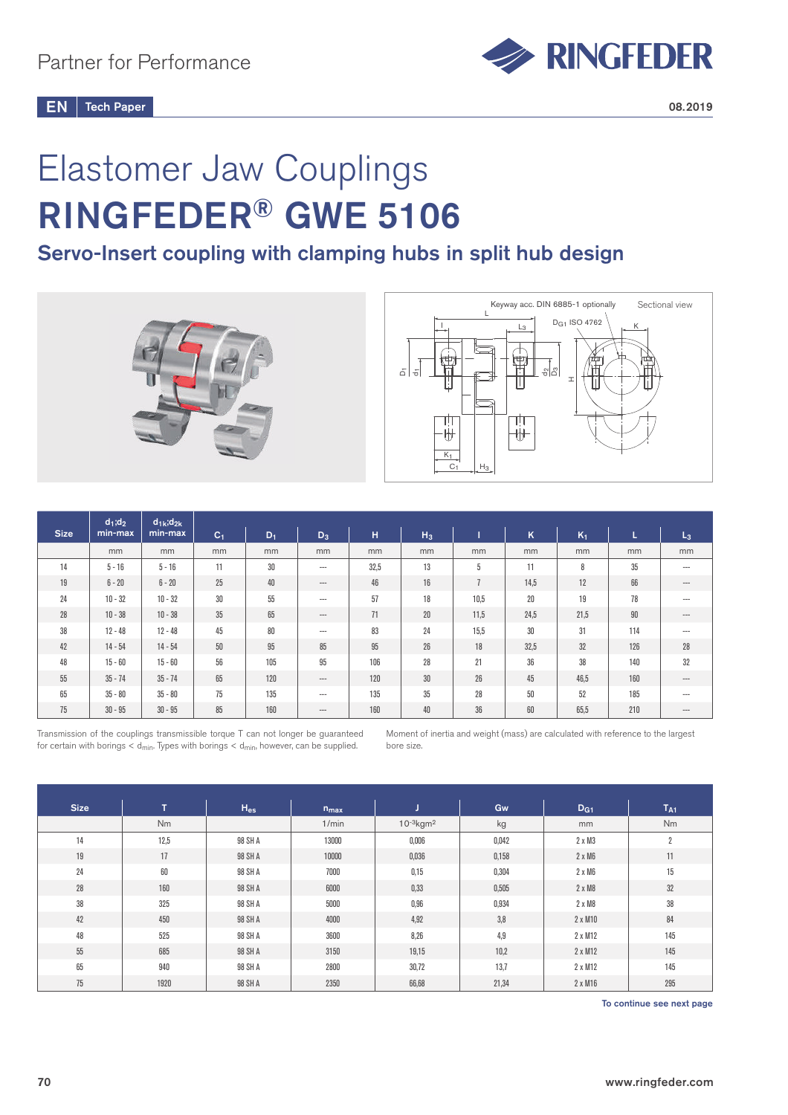

# Elastomer Jaw Couplings RINGFEDER® GWE 5106

## Servo-Insert coupling with clamping hubs in split hub design





|             | $d_1; d_2$ | $d_{1k}$ ; $d_{2k}$ |                |       |                               |      |                |      |      |                |        |                |
|-------------|------------|---------------------|----------------|-------|-------------------------------|------|----------------|------|------|----------------|--------|----------------|
| <b>Size</b> | min-max    | min-max             | C <sub>1</sub> | $D_1$ | $D_3$                         | H    | H <sub>3</sub> |      | K    | K <sub>1</sub> | ь      | L <sub>3</sub> |
|             | mm         | mm                  | mm             | mm    | mm                            | mm   | mm             | mm   | mm   | mm             | mm     | mm             |
| 14          | $5 - 16$   | $5 - 16$            | 11             | 30    | $\hspace{1.5cm} \textbf{---}$ | 32,5 | 13             | 5    | 11   | 8              | 35     | $--$           |
| 19          | $6 - 20$   | $6 - 20$            | 25             | 40    | $-\cdots$                     | 46   | 16             |      | 14,5 | 12             | 66     | $\cdots$       |
| 24          | $10 - 32$  | $10 - 32$           | $30\,$         | 55    | $---$                         | 57   | 18             | 10,5 | 20   | 19             | 78     | $---$          |
| 28          | $10 - 38$  | $10 - 38$           | 35             | 65    | $---$                         | 71   | $20\,$         | 11,5 | 24,5 | 21,5           | $90\,$ | $---$          |
| 38          | $12 - 48$  | $12 - 48$           | 45             | 80    | $---$                         | 83   | 24             | 15,5 | 30   | 31             | 114    | $---$          |
| 42          | $14 - 54$  | $14 - 54$           | $50\,$         | 95    | 85                            | 95   | 26             | 18   | 32,5 | 32             | 126    | 28             |
| 48          | $15 - 60$  | $15 - 60$           | 56             | 105   | 95                            | 106  | 28             | 21   | 36   | 38             | 140    | 32             |
| 55          | $35 - 74$  | $35 - 74$           | 65             | 120   | $-\!-\!$                      | 120  | $30\,$         | 26   | 45   | 46,5           | 160    | $\cdots$       |
| 65          | $35 - 80$  | $35 - 80$           | 75             | 135   | $---$                         | 135  | 35             | 28   | 50   | 52             | 185    | ---            |
| 75          | $30 - 95$  | $30 - 95$           | 85             | 160   | $\hspace{1.5cm} \textbf{---}$ | 160  | 40             | 36   | 60   | 65,5           | 210    | $\cdots$       |

Transmission of the couplings transmissible torque T can not longer be guaranteed for certain with borings  $<$  d<sub>min</sub>. Types with borings  $<$  d<sub>min</sub>, however, can be supplied.

Moment of inertia and weight (mass) are calculated with reference to the largest bore size.

| <b>Size</b> | Ŧ.   | $H_{es}$ | $n_{max}$ |                            | Gw    | D <sub>G1</sub> | T <sub>A1</sub> |
|-------------|------|----------|-----------|----------------------------|-------|-----------------|-----------------|
|             | Nm   |          | 1/min     | $10^{-3}$ kgm <sup>2</sup> | kg    | mm              | Nm              |
| 14          | 12,5 | 98 SH A  | 13000     | 0,006                      | 0,042 | $2 \times M3$   | 2               |
| 19          | 17   | 98 SH A  | 10000     | 0,036                      | 0,158 | $2 \times M6$   | 11              |
| 24          | 60   | 98 SH A  | 7000      | 0,15                       | 0,304 | $2 \times M6$   | 15              |
| 28          | 160  | 98 SH A  | 6000      | 0,33                       | 0,505 | $2 \times M8$   | 32              |
| 38          | 325  | 98 SH A  | 5000      | 0,96                       | 0,934 | 2 x M8          | 38              |
| 42          | 450  | 98 SH A  | 4000      | 4,92                       | 3,8   | 2 x M10         | 84              |
| 48          | 525  | 98 SH A  | 3600      | 8,26                       | 4,9   | 2 x M12         | 145             |
| 55          | 685  | 98 SH A  | 3150      | 19,15                      | 10,2  | 2 x M12         | 145             |
| 65          | 940  | 98 SH A  | 2800      | 30,72                      | 13,7  | 2 x M12         | 145             |
| 75          | 1920 | 98 SH A  | 2350      | 66,68                      | 21,34 | $2 \times M16$  | 295             |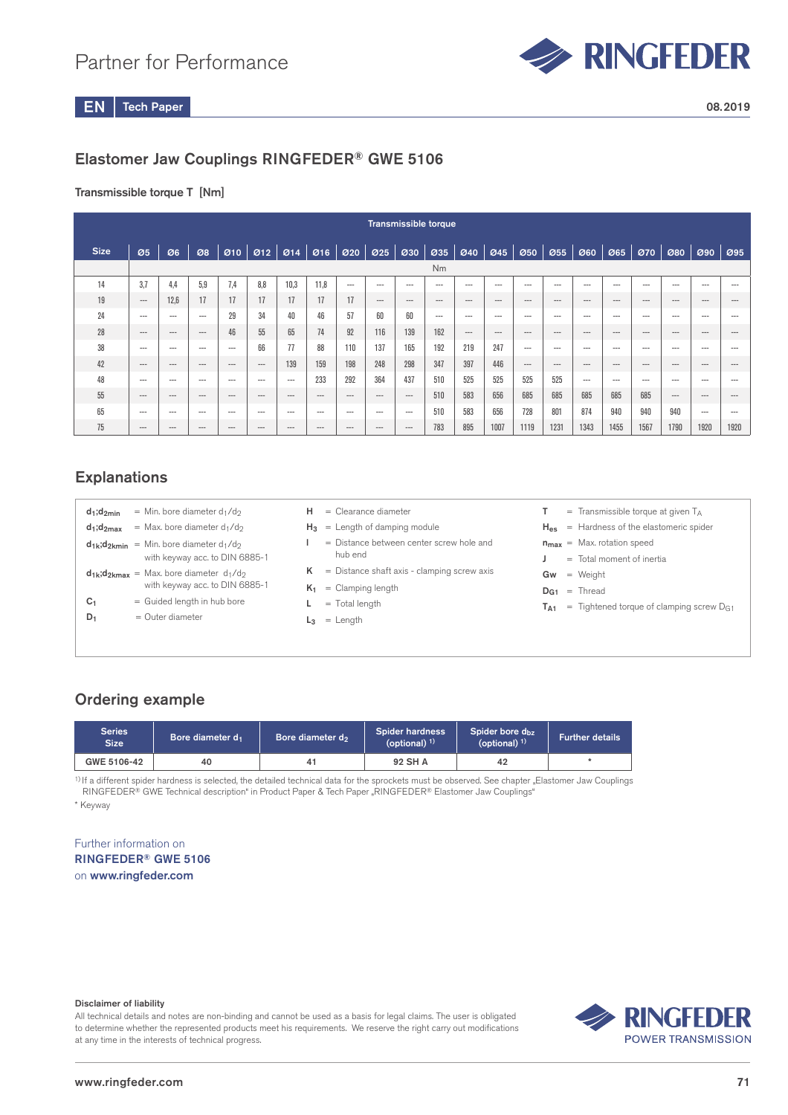

## Elastomer Jaw Couplings RINGFEDER® GWE 5106

## Transmissible torque T [Nm]

|             | <b>Transmissible torque</b> |         |          |          |         |                               |       |       |                 |                               |           |       |                                   |           |         |           |          |         |          |          |          |
|-------------|-----------------------------|---------|----------|----------|---------|-------------------------------|-------|-------|-----------------|-------------------------------|-----------|-------|-----------------------------------|-----------|---------|-----------|----------|---------|----------|----------|----------|
| <b>Size</b> | 05                          | Ø6      | 08       |          |         | $010$ $012$ $014$ $016$ $020$ |       |       | $\mathcal{O}25$ | $\boldsymbol{\mathcal{Q}}$ 30 | Ø35       |       | $\varnothing$ 40 $\varnothing$ 45 | 050       | $ $ Ø55 | 060   065 |          | 070     | 080      | 090      | 095      |
|             |                             |         |          |          |         |                               |       |       |                 |                               | <b>Nm</b> |       |                                   |           |         |           |          |         |          |          |          |
| 14          | 3.7                         | 4.4     | 5.9      | 7.4      | 8.8     | 10.3                          | 11.8  | $---$ | $---$           | ---                           | $---$     | $---$ | $---$                             | $---$     | $---$   | $---$     | $---$    | $---$   | $---$    | $---$    | ---      |
| 19          | $---$                       | 12.6    | 17       | 17       | 17      | 17                            | 17    | 17    | $---$           | $---$                         | $---$     | $---$ | $---$                             | $---$     | $---$   | $---$     | $---$    | $---$   | $\cdots$ | $--$     | $\cdots$ |
| 24          | $---$                       | $---$   | $---$    | 29       | 34      | 40                            | 46    | 57    | 60              | 60                            | $---$     | $---$ | $--$                              | $---$     | $---$   | $- - -$   | $---$    | $---$   | $---$    | $- - -$  | ---      |
| 28          | $\cdots$                    | $---$   | $\cdots$ | 46       | 55      | 65                            | 74    | 92    | 116             | 139                           | 162       | $---$ | $---$                             | $\cdots$  | $---$   | $- - -$   | $\cdots$ | $- - -$ | $- - -$  | $-$      | ---      |
| 38          | $---$                       | $---$   | $---$    | $---$    | 66      | 77                            | 88    | 110   | 137             | 165                           | 192       | 219   | 247                               | $---$     | $---$   | $- - -$   | $---$    | $---$   | $---$    | $\cdots$ | $--$     |
| 42          | $---$                       | $---$   | $---$    | $---$    | $---$   | 139                           | 159   | 198   | 248             | 298                           | 347       | 397   | 446                               | $-\cdots$ | $---$   | $\cdots$  | $---$    | $---$   | $---$    | $---$    | $---$    |
| 48          | $---$                       | $---$   | $---$    | $---$    | $-$     | $---$                         | 233   | 292   | 364             | 437                           | 510       | 525   | 525                               | 525       | 525     | $---$     | $---$    | $---$   | $---$    | $- - -$  | $---$    |
| 55          | $---$                       | $---$   | $---$    | $\cdots$ | $---$   | $---$                         | $---$ | $---$ | $---$           | $---$                         | 510       | 583   | 656                               | 685       | 685     | 685       | 685      | 685     | $---$    | $---$    | $---$    |
| 65          | $---$                       | $- - -$ | $- - -$  | $---$    | $- - -$ | $---$                         | $---$ | $---$ | $---$           | $---$                         | 510       | 583   | 656                               | 728       | 801     | 874       | 940      | 940     | 940      | $---$    | $- - -$  |
| 75          | $---$                       | $---$   | $---$    | $---$    | $---$   | $---$                         | $---$ | $---$ | $---$           | $---$                         | 783       | 895   | 1007                              | 1119      | 1231    | 1343      | 1455     | 1567    | 1790     | 1920     | 1920     |

## **Explanations**

| $d_1$ : $d_2$ <sub>min</sub> | $=$ Min. bore diameter d <sub>1</sub> /d <sub>2</sub>                                   |
|------------------------------|-----------------------------------------------------------------------------------------|
| $d_1$ ; $d_2$ <sub>max</sub> | $=$ Max. bore diameter d <sub>1</sub> /d <sub>2</sub>                                   |
| $d_{1k}$ : $d_{2kmin}$       | $=$ Min. bore diameter d <sub>1</sub> /d <sub>2</sub><br>with keyway acc. to DIN 6885-1 |
| $d_{1k}$ ; $d_{2kmax}$       | = Max. bore diameter $d_1/d_2$<br>with keyway acc. to DIN 6885-1                        |
| C1                           | $=$ Guided length in hub bore                                                           |
| D1                           | $=$ Outer diameter                                                                      |
|                              |                                                                                         |

- $H =$  Clearance diameter
- $H_3$  = Length of damping module
- $l =$  Distance between center screw hole and hub end
- $K =$  Distance shaft axis clamping screw axis
- $K_1$  = Clamping length
- $L = \text{Total length}$
- $L_3$  = Length
- $T =$  Transmissible torque at given  $T_A$
- $H_{es}$  = Hardness of the elastomeric spider
- $n_{max}$  = Max. rotation speed
- $J =$  Total moment of inertia
- $Gw = Weight$
- $D_{G1}$  = Thread
- $T_{A1}$  = Tightened torque of clamping screw  $D_{G1}$

## Ordering example

| Series<br><b>Size</b> | Bore diameter d <sub>1</sub> | Bore diameter d <sub>2</sub> | <b>Spider hardness</b><br>(optional) $1$ | Spider bore d <sub>bz</sub><br>(optional) $1$ ) | <b>Further details</b> |
|-----------------------|------------------------------|------------------------------|------------------------------------------|-------------------------------------------------|------------------------|
| GWE 5106-42           | 40                           | 41                           | 92 SH A                                  | 42                                              |                        |

<sup>1)</sup> If a different spider hardness is selected, the detailed technical data for the sprockets must be observed. See chapter "Elastomer Jaw Couplings RINGFEDER<sup>®</sup> GWE Technical description<sup>e</sup> in Product Paper & Tech Paper "RINGFEDER® Elastomer Jaw Couplings"

\* Keyway

Further information on RINGFEDER® GWE 5106 on www.ringfeder.com

#### Disclaimer of liability

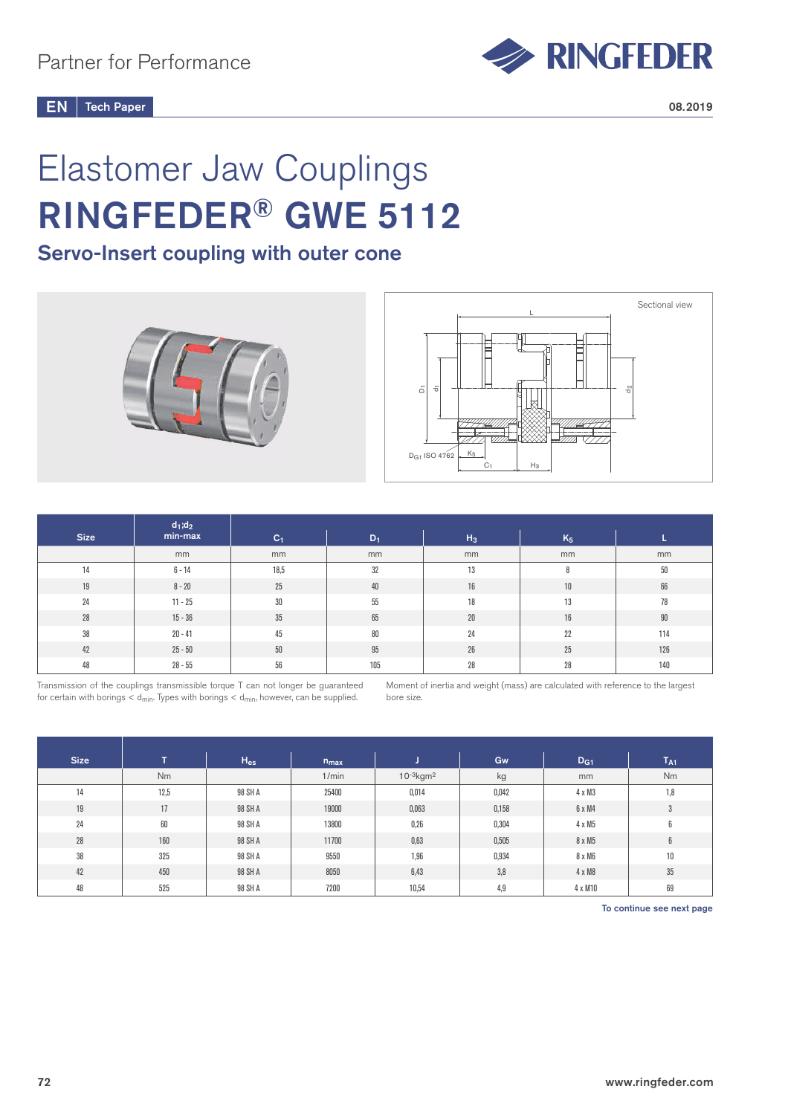

# Elastomer Jaw Couplings RINGFEDER® GWE 5112

## Servo-Insert coupling with outer cone





|             | $d_1; d_2$ |                |        |        |                |        |
|-------------|------------|----------------|--------|--------|----------------|--------|
| <b>Size</b> | min-max    | C <sub>1</sub> | $D_1$  | $H_3$  | K <sub>5</sub> |        |
|             | mm         | mm             | mm     | mm     | mm             | mm     |
| 14          | $6 - 14$   | 18,5           | 32     | 13     | 8              | 50     |
| 19          | $8 - 20$   | 25             | 40     | 16     | $10$           | 66     |
| 24          | $11 - 25$  | 30             | $55\,$ | 18     | 13             | 78     |
| 28          | $15 - 36$  | 35             | 65     | $20\,$ | 16             | $90\,$ |
| 38          | $20 - 41$  | 45             | 80     | 24     | 22             | 114    |
| 42          | $25 - 50$  | $50\,$         | $95\,$ | $26\,$ | 25             | 126    |
| 48          | $28 - 55$  | 56             | 105    | 28     | 28             | 140    |

Transmission of the couplings transmissible torque T can not longer be guaranteed for certain with borings  $<$  d<sub>min</sub>. Types with borings  $<$  d<sub>min</sub>, however, can be supplied.

Moment of inertia and weight (mass) are calculated with reference to the largest bore size.

| <b>Size</b> | ÷    | $H_{es}$ | $n_{max}$ |                            | Gw    | D <sub>G1</sub> | T <sub>A1</sub> |
|-------------|------|----------|-----------|----------------------------|-------|-----------------|-----------------|
|             | Nm   |          | 1/min     | $10^{-3}$ kgm <sup>2</sup> | kg    | mm              | Nm              |
| 14          | 12,5 | 98 SH A  | 25400     | 0,014                      | 0,042 | $4 \times M3$   | 1,8             |
| 19          | 17   | 98 SH A  | 19000     | 0,063                      | 0,158 | 6 x M4          | 3               |
| 24          | 60   | 98 SH A  | 13800     | 0,26                       | 0,304 | 4 x M5          | 6               |
| 28          | 160  | 98 SH A  | 11700     | 0,63                       | 0,505 | 8 x M5          | 6               |
| 38          | 325  | 98 SH A  | 9550      | 1,96                       | 0,934 | 8 x M6          | $10$            |
| 42          | 450  | 98 SH A  | 8050      | 6,43                       | 3,8   | 4 x M8          | 35              |
| 48          | 525  | 98 SH A  | 7200      | 10,54                      | 4,9   | 4 x M10         | 69              |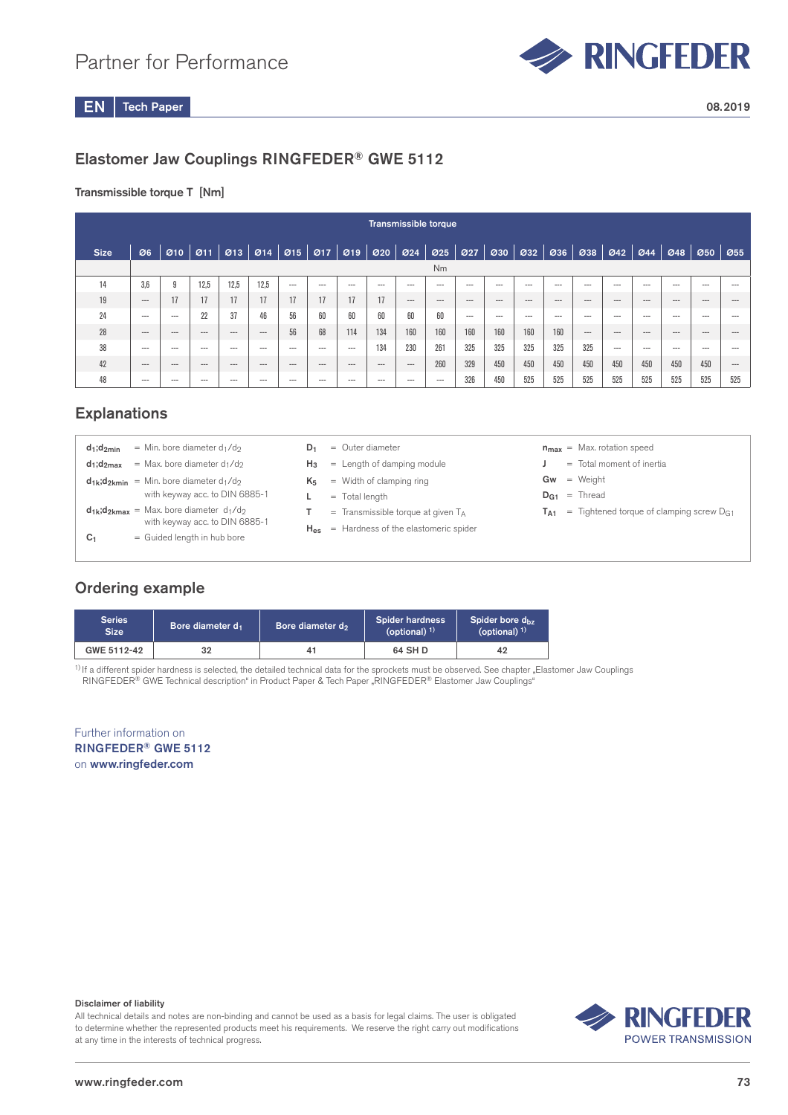

## Elastomer Jaw Couplings RINGFEDER® GWE 5112

### Transmissible torque T [Nm]

|                | Transmissible torque                                                                           |          |             |                                        |         |          |         |         |          |                 |          |                  |         |                    |          |          |          |          |          |         |          |
|----------------|------------------------------------------------------------------------------------------------|----------|-------------|----------------------------------------|---------|----------|---------|---------|----------|-----------------|----------|------------------|---------|--------------------|----------|----------|----------|----------|----------|---------|----------|
| <b>Size</b>    | Ø6                                                                                             |          | $910$ $911$ | 013    014    015    017    019    020 |         |          |         |         |          | $\mathcal{O}24$ | 025      | $\varnothing$ 27 | 030     | $\boldsymbol{0}32$ | Ø36      | 038      | 042      | 044      | 048      |         | 050 055  |
| N <sub>m</sub> |                                                                                                |          |             |                                        |         |          |         |         |          |                 |          |                  |         |                    |          |          |          |          |          |         |          |
| 14             | 3.6<br>12.5<br>12.5<br>12.5<br>9<br>$---$<br>$---$<br>$---$<br>$---$<br>$--$<br>$---$<br>$---$ |          |             |                                        |         |          |         |         |          |                 |          |                  |         | $-- -$             | $- - -$  | $--$     | $\cdots$ | $- - -$  | $---$    | $---$   | $- - -$  |
| 19             | $- - -$                                                                                        | 17       | 17          | 17                                     | 17      | 17       | 17      | 17      | 17       | $- - -$         | $\cdots$ | $\cdots$         | $---$   | $\cdots$           | $\cdots$ | $\cdots$ | $\cdots$ | $\cdots$ | $\cdots$ | $---$   | $\cdots$ |
| 24             | $---$                                                                                          | $---$    | 22          | 37                                     | 46      | 56       | 60      | 60      | 60       | 60              | 60       | $---$            | $- - -$ | $---$              | $---$    | $---$    | $---$    | $--$     | $---$    | $---$   | $- - -$  |
| 28             | $---$                                                                                          | $\cdots$ | $\cdots$    | $---$                                  | $- - -$ | 56       | 68      | 114     | 134      | 160             | 160      | 160              | 160     | 160                | 160      | $\cdots$ | $\cdots$ | $---$    | $\cdots$ | $---$   | $- - -$  |
| 38             | $- - -$                                                                                        | $- - -$  | $- - -$     | $- - -$                                | $- - -$ | $- - -$  | $- - -$ | $- - -$ | 134      | 230             | 261      | 325              | 325     | 325                | 325      | 325      | $- - -$  | $- - -$  | $- - -$  | $- - -$ | $- - -$  |
| 42             | $---$                                                                                          | $\cdots$ | $---$       | $---$                                  | $---$   | $\cdots$ | $---$   | $---$   | $\cdots$ | $---$           | 260      | 329              | 450     | 450                | 450      | 450      | 450      | 450      | 450      | 450     | $\cdots$ |
| 48             | $---$                                                                                          | $---$    | $---$       | $---$                                  | ---     | ---      | $---$   | $--$    | $---$    | $---$           | $--$     | 326              | 450     | 525                | 525      | 525      | 525      | 525      | 525      | 525     | 525      |

## **Explanations**

| $d_1; d_{2min}$    | = Min. bore diameter $d_1/d_2$                        |  | $D_1 =$ Outer diameter                        |    | $n_{max}$ = Max. rot |
|--------------------|-------------------------------------------------------|--|-----------------------------------------------|----|----------------------|
| $d_1$ ; $d_{2max}$ | = Max. bore diameter $d_1/d_2$                        |  | $H_3$ = Length of damping module              |    | $=$ Total mo         |
|                    | $d_{1k}$ ; $d_{2kmin}$ = Min. bore diameter $d_1/d_2$ |  | $K_5$ = Width of clamping ring                | Gw | $=$ Weight           |
|                    | with keyway acc. to DIN 6885-1                        |  | $=$ Total length                              |    | $D_{G1}$ = Thread    |
|                    | $d_{1k}$ ; $d_{2kmax}$ = Max. bore diameter $d_1/d_2$ |  | $=$ Transmissible torque at given $T_A$       |    | $T_{A1}$ = Tighten   |
|                    | with keyway acc. to DIN 6885-1                        |  | $H_{es}$ = Hardness of the elastomeric spider |    |                      |
| C <sub>1</sub>     | = Guided length in hub bore                           |  |                                               |    |                      |
|                    |                                                       |  |                                               |    |                      |

#### matation speed

- noment of inertia
- 
- ened torque of clamping screw D<sub>G1</sub>

## Ordering example

| <b>Series</b><br>Size <sup>1</sup> | Bore diameter d <sub>1</sub> | Bore diameter d <sub>2</sub> | Spider hardness<br>(optional) $1$ ) | Spider bore $d_{hz}$<br>$($ optional $)$ <sup>1)</sup> |
|------------------------------------|------------------------------|------------------------------|-------------------------------------|--------------------------------------------------------|
| GWE 5112-42                        | 32                           |                              | 64 SH D                             | 42                                                     |

 $<sup>1</sup>$  If a different spider hardness is selected, the detailed technical data for the sprockets must be observed. See chapter "Elastomer Jaw Couplings</sup> RINGFEDER® GWE Technical description" in Product Paper & Tech Paper "RINGFEDER® Elastomer Jaw Couplings"

Further information on RINGFEDER® GWE 5112 on www.ringfeder.com

#### Disclaimer of liability

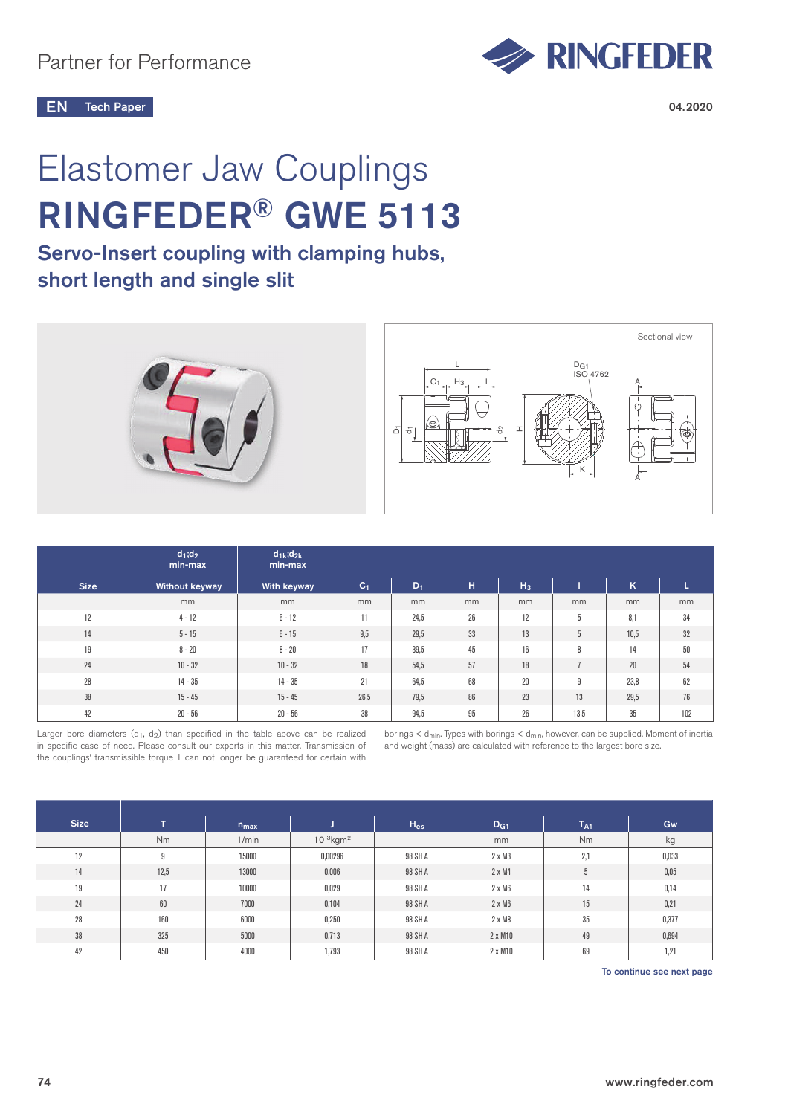

# Elastomer Jaw Couplings RINGFEDER® GWE 5113

## Servo-Insert coupling with clamping hubs, short length and single slit



|             | $d_1; d_2$<br>min-max | $d_{1k}$ ; $d_{2k}$<br>min-max |       |       |    |       |      |      |     |
|-------------|-----------------------|--------------------------------|-------|-------|----|-------|------|------|-----|
| <b>Size</b> | Without keyway        | <b>With keyway</b>             | $C_1$ | $D_1$ | н  | $H_3$ |      | K    | ц   |
|             | mm                    | mm                             | mm    | mm    | mm | mm    | mm   | mm   | mm  |
| 12          | $4 - 12$              | $6 - 12$                       | 11    | 24,5  | 26 | 12    | 5    | 8,1  | 34  |
| 14          | $5 - 15$              | $6 - 15$                       | 9,5   | 29,5  | 33 | 13    | 5    | 10,5 | 32  |
| 19          | $8 - 20$              | $8 - 20$                       | 17    | 39,5  | 45 | 16    | 8    | 14   | 50  |
| 24          | $10 - 32$             | $10 - 32$                      | 18    | 54,5  | 57 | 18    |      | 20   | 54  |
| 28          | $14 - 35$             | $14 - 35$                      | 21    | 64,5  | 68 | 20    | 9    | 23,8 | 62  |
| 38          | $15 - 45$             | $15 - 45$                      | 26,5  | 79,5  | 86 | 23    | 13   | 29,5 | 76  |
| 42          | $20 - 56$             | $20 - 56$                      | 38    | 94,5  | 95 | 26    | 13,5 | 35   | 102 |

Larger bore diameters  $(d_1, d_2)$  than specified in the table above can be realized in specific case of need. Please consult our experts in this matter. Transmission of the couplings' transmissible torque T can not longer be guaranteed for certain with

borings  $<$  d<sub>min</sub>. Types with borings  $<$  d<sub>min</sub>, however, can be supplied. Moment of inertia and weight (mass) are calculated with reference to the largest bore size.

| <b>Size</b> | T.   | $n_{max}$ |                            | $H_{es}$ | D <sub>G1</sub> | $T_{A1}$ | Gw    |
|-------------|------|-----------|----------------------------|----------|-----------------|----------|-------|
|             | Nm   | 1/min     | $10^{-3}$ kgm <sup>2</sup> |          | mm              | Nm       | kg    |
| 12          | 9    | 15000     | 0,00296                    | 98 SH A  | $2 \times M3$   | 2,1      | 0,033 |
| 14          | 12,5 | 13000     | 0,006                      | 98 SH A  | $2 \times M4$   | 5        | 0,05  |
| 19          | 17   | 10000     | 0,029                      | 98 SH A  | $2 \times M6$   | 14       | 0,14  |
| 24          | 60   | 7000      | 0,104                      | 98 SH A  | $2 \times M6$   | 15       | 0,21  |
| 28          | 160  | 6000      | 0,250                      | 98 SH A  | $2 \times M8$   | 35       | 0,377 |
| 38          | 325  | 5000      | 0,713                      | 98 SH A  | 2 x M10         | 49       | 0,694 |
| 42          | 450  | 4000      | 1,793                      | 98 SH A  | 2 x M10         | 69       | 1,21  |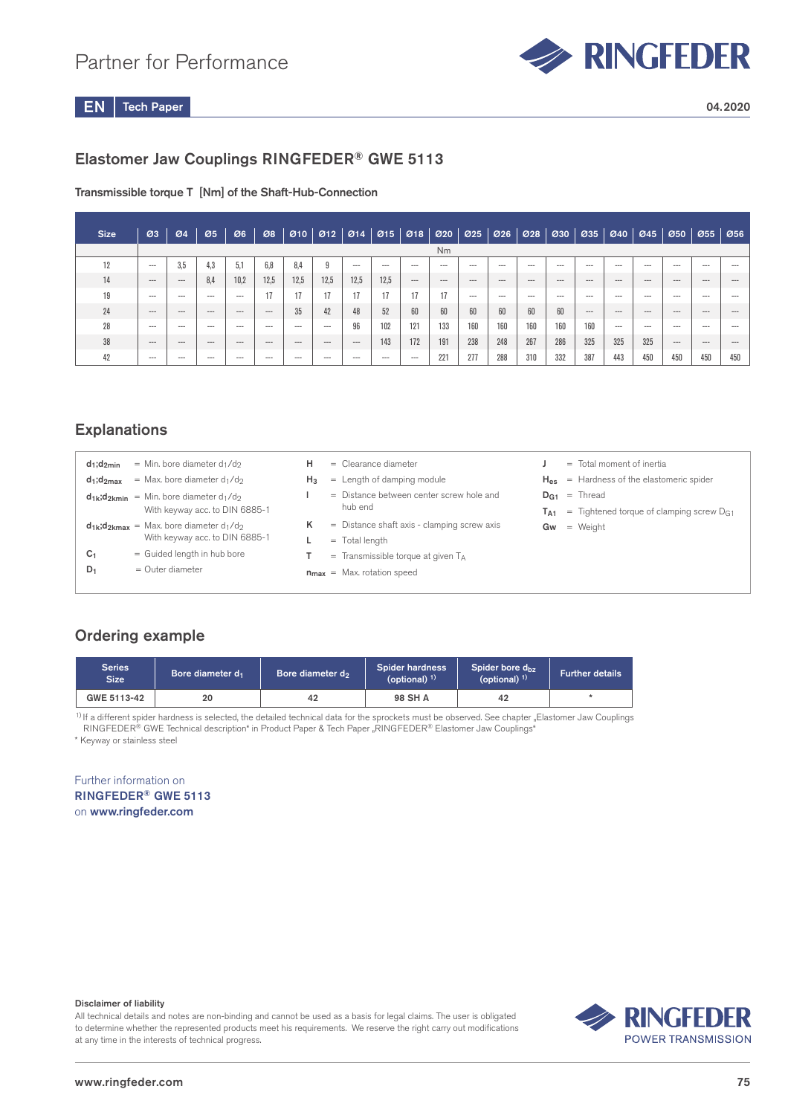## Partner for Performance



Tech Paper  $EN$  Tech Paper 04.2020

## Elastomer Jaw Couplings RINGFEDER® GWE 5113

Transmissible torque T [Nm] of the Shaft-Hub-Connection

| <b>Size</b> | Ø3       | Ø4      | Ø5      | Ø6       | 08       |         | $\mathcal{O}10$   $\mathcal{O}12$   $\mathcal{O}14$   $\mathcal{O}15$ |          |       | 018   020 |       | $\varnothing$ 25 | Ø26      | 028     | 030     | Ø35      | 040      | 045     | 050      | Ø55     | Ø56     |
|-------------|----------|---------|---------|----------|----------|---------|-----------------------------------------------------------------------|----------|-------|-----------|-------|------------------|----------|---------|---------|----------|----------|---------|----------|---------|---------|
|             |          |         |         |          |          |         |                                                                       |          |       |           | Nm    |                  |          |         |         |          |          |         |          |         |         |
| 12          | $---$    | 3.5     | 4.3     | 5,1      | 6.8      | 8.4     | 9                                                                     | $---$    | $---$ | $---$     | $--$  | $---$            | $\cdots$ | $--$    | $--$    | $---$    | $---$    | $--$    | $---$    | $---$   | $- - -$ |
| 14          | $\cdots$ | $---$   | 8,4     | 10,2     | 12,5     | 12,5    | 12,5                                                                  | 12.5     | 12,5  | $\cdots$  | $---$ | $- - -$          | $---$    | $- - -$ | $- - -$ | $\cdots$ | $---$    | $- - -$ | $\cdots$ | $- - -$ | ---     |
| 19          | $---$    | ---     | ---     | $---$    |          | 17      | 17                                                                    | 17       | 17    |           | 17    | $-- -$           | $---$    | $-- -$  | $--$    | $---$    | $---$    | $- - -$ | $- - -$  | $---$   | ---     |
| 24          | $- - -$  | $- - -$ | $- - -$ | $\cdots$ | $\cdots$ | 35      | 42                                                                    | 48       | 52    | 60        | 60    | 60               | 60       | 60      | 60      | $\cdots$ | $\cdots$ | $---$   | $- - -$  | $---$   | ---     |
| 28          | $- - -$  | ---     | $- - -$ | $- - -$  | $- - -$  | $--$    | $---$                                                                 | 96       | 102   | 121       | 133   | 160              | 160      | 160     | 160     | 160      | $---$    | $---$   | $- - -$  | $- - -$ |         |
| 38          | $- - -$  | $---$   | $--$    | $\cdots$ | $\cdots$ | $- - -$ | $- - -$                                                               | $\cdots$ | 143   | 172       | 191   | 238              | 248      | 267     | 286     | 325      | 325      | 325     | $\cdots$ | $---$   | $--$    |
| 42          | $- - -$  | ---     | $--$    | $---$    | $- - -$  | $--$    | $-- -$                                                                | $---$    | $--$  | $--$      | 221   | 277              | 288      | 310     | 332     | 387      | 443      | 450     | 450      | 450     | 450     |

## **Explanations**

| $d_1; d_{2min}$<br>$d_1; d_{2max}$<br>c,<br>$D_1$ | = Min. bore diameter $d_1/d_2$<br>$=$ Max. bore diameter $d_1/d_2$<br>$d_{1k}$ ; $d_{2kmin}$ = Min. bore diameter $d_1/d_2$<br>With keyway acc. to DIN 6885-1<br>$d_{1k}$ ; $d_{2kmax}$ = Max. bore diameter $d_1/d_2$<br>With keyway acc. to DIN 6885-1<br>= Guided length in hub bore<br>$=$ Outer diameter | н<br>$H_3$<br>κ | $=$ Clearance diameter<br>$=$ Length of damping module<br>= Distance between center screw hole and<br>$=$ Distance shaft axis - clamping screw axis<br>$=$ Transmissible torque at given $T_A$ | hub end<br>$=$ Total length<br>$n_{max}$ = Max. rotation speed | T <sub>A1</sub><br>Gw | $=$ Total moment of inertia<br>$H_{es}$ = Hardness of the elastomeric spider<br>$D_{G1}$ = Thread<br>$=$ Tightened torque of clamping screw $D_{G1}$<br>$=$ Weight |
|---------------------------------------------------|---------------------------------------------------------------------------------------------------------------------------------------------------------------------------------------------------------------------------------------------------------------------------------------------------------------|-----------------|------------------------------------------------------------------------------------------------------------------------------------------------------------------------------------------------|----------------------------------------------------------------|-----------------------|--------------------------------------------------------------------------------------------------------------------------------------------------------------------|
|                                                   |                                                                                                                                                                                                                                                                                                               |                 |                                                                                                                                                                                                |                                                                |                       |                                                                                                                                                                    |
|                                                   |                                                                                                                                                                                                                                                                                                               |                 |                                                                                                                                                                                                |                                                                |                       |                                                                                                                                                                    |

## Ordering example

| <b>Series</b><br><b>Size</b> | Bore diameter d <sub>1</sub> | Bore diameter d <sub>2</sub> |         | Spider bore d <sub>bz</sub><br>(optional) $1$ ) | <b>Further details</b> |
|------------------------------|------------------------------|------------------------------|---------|-------------------------------------------------|------------------------|
| GWE 5113-42                  | 20                           | 42                           | 98 SH A | 42                                              |                        |

\* Keyway or stainless steel <sup>1)</sup> If a different spider hardness is selected, the detailed technical data for the sprockets must be observed. See chapter "Elastomer Jaw Couplings RINGFEDER® GWE Technical description" in Product Paper & Tech Paper "RINGFEDER® Elastomer Jaw Couplings"

### Further information on RINGFEDER® GWE 5113 on www.ringfeder.com

#### Disclaimer of liability

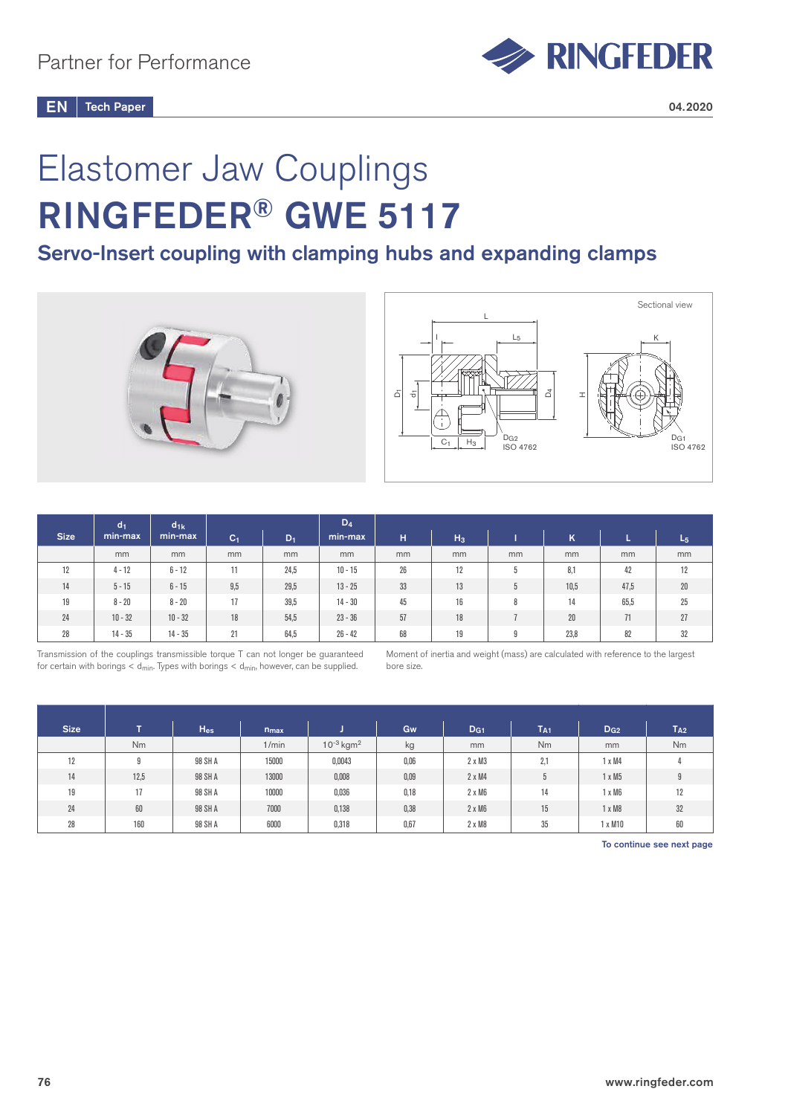

# Elastomer Jaw Couplings RINGFEDER® GWE 5117

# Servo-Insert coupling with clamping hubs and expanding clamps





|             | d <sub>1</sub> | $d_{1k}$  |                |       | $D_4$     |    |       |    |      |      |       |
|-------------|----------------|-----------|----------------|-------|-----------|----|-------|----|------|------|-------|
| <b>Size</b> | min-max        | min-max   | C <sub>1</sub> | $D_1$ | min-max   | н  | $H_3$ |    | Κ    |      | $L_5$ |
|             | mm             | mm        | mm             | mm    | mm        | mm | mm    | mm | mm   | mm   | mm    |
| 12          | $4 - 12$       | $6 - 12$  | 11             | 24,5  | $10 - 15$ | 26 | 12    | 5  | 8.1  | 42   | 12    |
| 14          | $5 - 15$       | $6 - 15$  | 9,5            | 29,5  | $13 - 25$ | 33 | 13    | 5  | 10,5 | 47,5 | 20    |
| 19          | $8 - 20$       | $8 - 20$  | 17             | 39,5  | $14 - 30$ | 45 | 16    | 8  | 14   | 65,5 | 25    |
| 24          | $10 - 32$      | $10 - 32$ | 18             | 54,5  | $23 - 36$ | 57 | 18    |    | 20   | 71   | 27    |
| 28          | $14 - 35$      | $14 - 35$ | 21             | 64,5  | $26 - 42$ | 68 | 19    | 9  | 23,8 | 82   | 32    |

Transmission of the couplings transmissible torque T can not longer be guaranteed for certain with borings  $<$  d<sub>min</sub>. Types with borings  $<$  d<sub>min</sub>, however, can be supplied.

Moment of inertia and weight (mass) are calculated with reference to the largest bore size.

| <b>Size</b> | T.     | $H_{es}$ | $n_{max}$ |                            | <b>Gw</b> | D <sub>G1</sub> | $T_{A1}$ | $D_{G2}$      | $T_{A2}$ |
|-------------|--------|----------|-----------|----------------------------|-----------|-----------------|----------|---------------|----------|
|             | Nm     |          | 1/min     | $10^{-3}$ kgm <sup>2</sup> | kg        | mm              | Nm       | mm            | Nm       |
| 12          | O<br>Ð | 98 SH A  | 15000     | 0,0043                     | 0,06      | $2 \times M3$   | 2,1      | $1 \times M4$ |          |
| 14          | 12,5   | 98 SH A  | 13000     | 0,008                      | 0,09      | $2 \times M4$   | 5        | $1 \times M5$ | 9        |
| 19          | 17     | 98 SH A  | 10000     | 0,036                      | 0,18      | $2 \times M6$   | 14       | $1 \times M6$ | 12       |
| 24          | 60     | 98 SH A  | 7000      | 0,138                      | 0,38      | $2 \times M6$   | 15       | $1 \times M8$ | 32       |
| 28          | 160    | 98 SH A  | 6000      | 0,318                      | 0,67      | $2 \times M8$   | 35       | x M10         | 60       |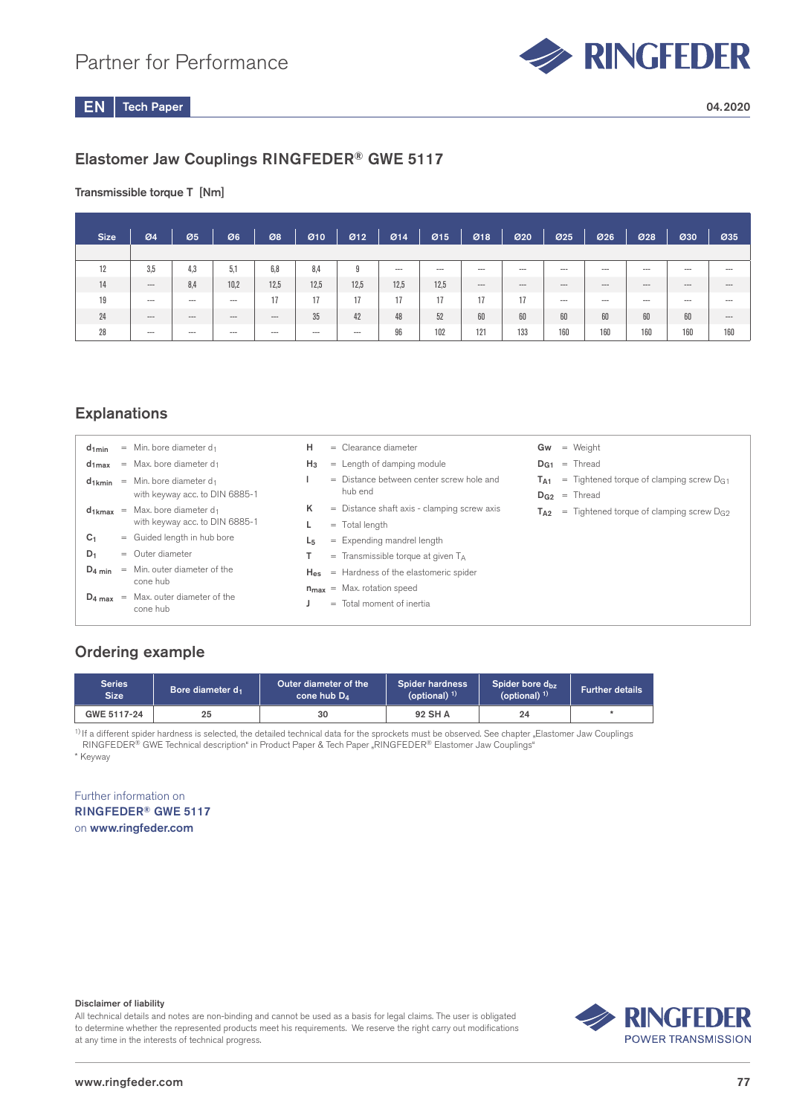

## Elastomer Jaw Couplings RINGFEDER® GWE 5117

### Transmissible torque T [Nm]

| <b>Size</b> | 04                       | Ø5       | Ø6       | 08    | 010     | 012   | Ø14                      | Ø15   | 018     | 020      | 025   | Ø26      | 028     | 030     | 035     |
|-------------|--------------------------|----------|----------|-------|---------|-------|--------------------------|-------|---------|----------|-------|----------|---------|---------|---------|
|             |                          |          |          |       |         |       |                          |       |         |          |       |          |         |         |         |
| 12          | 3,5                      | 4,3      | 5,1      | 6,8   | 8,4     | 9     | $\hspace{0.05cm} \cdots$ | $---$ | $--$    | $---$    | $---$ | $\cdots$ | $- - -$ | $- - -$ | $--$    |
| 14          | $\hspace{0.05cm} \cdots$ | 8,4      | 10,2     | 12,5  | 12,5    | 12,5  | 12,5                     | 12,5  | $- - -$ | $\cdots$ | $---$ | $\cdots$ | $---$   | $- - -$ | $- - -$ |
| 19          | $\cdots$                 | $---$    | $- - -$  | 17    | 17      | 17    | 17                       | 17    | 17      | 17       | $--$  | $-- -$   | $---$   | $- - -$ | $- - -$ |
| 24          | $\qquad \qquad \cdots$   | $\cdots$ | $\cdots$ | $---$ | 35      | 42    | 48                       | 52    | 60      | 60       | 60    | 60       | 60      | 60      | $- - -$ |
| 28          | $--$                     | $\cdots$ | $---$    | $---$ | $- - -$ | $---$ | 96                       | 102   | 121     | 133      | 160   | 160      | 160     | 160     | 160     |

## **Explanations**

| $d_{1min}$     | $=$ Min, bore diameter d <sub>1</sub>              | н     | $=$ Clearance diameter                               | $Gw = Weight$                                          |
|----------------|----------------------------------------------------|-------|------------------------------------------------------|--------------------------------------------------------|
| $d_{1max}$     | $=$ Max, bore diameter d <sub>1</sub>              | $H_3$ | $=$ Length of damping module                         | $D_{G1}$ = Thread                                      |
|                | $d_{1kmin}$ = Min. bore diameter $d_1$             |       | = Distance between center screw hole and             | $T_{A1}$ = Tightened torque of clamping screw $D_{G1}$ |
|                | with keyway acc. to DIN 6885-1                     |       | hub end                                              | $D_{G2}$ = Thread                                      |
|                | $d_{1kmax}$ = Max. bore diameter $d_1$             | Κ     | $=$ Distance shaft axis - clamping screw axis        | $T_{A2}$ = Tightened torque of clamping screw $D_{G2}$ |
|                | with keyway acc. to DIN 6885-1                     |       | $=$ Total length                                     |                                                        |
| C <sub>1</sub> | = Guided length in hub bore                        | L5    | $=$ Expending mandrel length                         |                                                        |
| $D_1$          | $=$ Outer diameter                                 |       | $=$ Transmissible torque at given $T_A$              |                                                        |
| $D_4$ min      | $=$ Min, outer diameter of the                     |       | $H_{\text{eq}}$ = Hardness of the elastomeric spider |                                                        |
|                | cone hub                                           |       | $n_{max}$ = Max. rotation speed                      |                                                        |
|                | $D_4$ max = Max. outer diameter of the<br>cone hub |       | $=$ Total moment of inertia                          |                                                        |
|                |                                                    |       |                                                      |                                                        |

## Ordering example

| Series<br><b>Size</b> | Bore diameter d <sub>1</sub> | Outer diameter of the<br>cone hub $D_4$ | <b>Spider hardness</b><br>(optional) $1$ | Spider bore $d_{hz}$<br>(optional) $1$ | <b>Further details</b> |
|-----------------------|------------------------------|-----------------------------------------|------------------------------------------|----------------------------------------|------------------------|
| GWE 5117-24           |                              | 30                                      | 92 SH A                                  | 24                                     |                        |

<sup>1)</sup> If a different spider hardness is selected, the detailed technical data for the sprockets must be observed. See chapter "Elastomer Jaw Couplings RINGFEDER® GWE Technical description" in Product Paper & Tech Paper "RINGFEDER® Elastomer Jaw Couplings"

\* Keyway

Further information on RINGFEDER® GWE 5117 on www.ringfeder.com

#### Disclaimer of liability

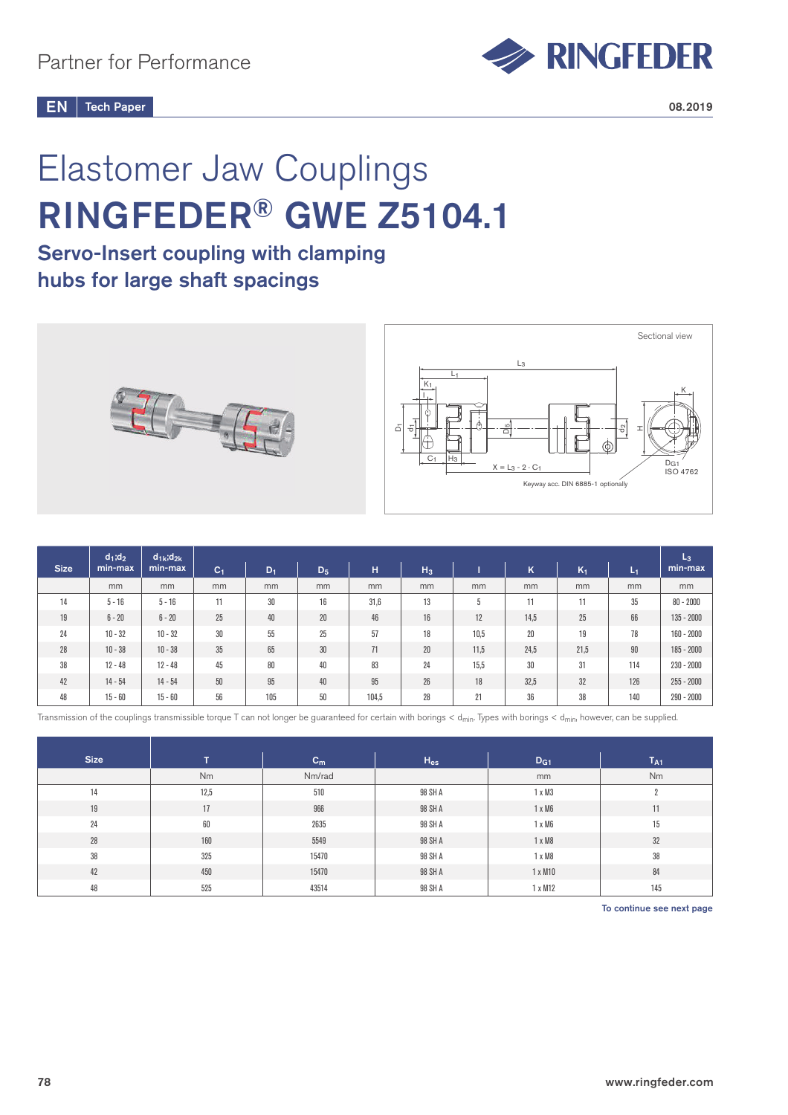

# Elastomer Jaw Couplings RINGFEDER® GWE Z5104.1

## Servo-Insert coupling with clamping hubs for large shaft spacings



|             | $d_1; d_2$ | $d_{1k}$ ; $d_{2k}$ |                |       |       |       |       |      |      |       |                   | $L_3$        |
|-------------|------------|---------------------|----------------|-------|-------|-------|-------|------|------|-------|-------------------|--------------|
| <b>Size</b> | min-max    | min-max             | C <sub>1</sub> | $D_1$ | $D_5$ | н     | $H_3$ |      | K    | $K_1$ | / L <sub>1/</sub> | min-max      |
|             | mm         | mm                  | mm             | mm    | mm    | mm    | mm    | mm   | mm   | mm    | mm                | mm           |
| 14          | $5 - 16$   | $5 - 16$            | 11             | 30    | 16    | 31,6  | 13    | 5    | 11   | 11    | 35                | $80 - 2000$  |
| 19          | $6 - 20$   | $6 - 20$            | 25             | 40    | 20    | 46    | 16    | 12   | 14,5 | 25    | 66                | $135 - 2000$ |
| 24          | $10 - 32$  | $10 - 32$           | 30             | 55    | 25    | 57    | 18    | 10.5 | 20   | 19    | 78                | $160 - 2000$ |
| 28          | $10 - 38$  | $10 - 38$           | 35             | 65    | 30    | 71    | 20    | 11,5 | 24,5 | 21,5  | 90                | $185 - 2000$ |
| 38          | $12 - 48$  | $12 - 48$           | 45             | 80    | 40    | 83    | 24    | 15,5 | 30   | 31    | 114               | $230 - 2000$ |
| 42          | $14 - 54$  | $14 - 54$           | $50\,$         | 95    | 40    | 95    | 26    | 18   | 32,5 | 32    | 126               | $255 - 2000$ |
| 48          | $15 - 60$  | $15 - 60$           | 56             | 105   | 50    | 104,5 | 28    | 21   | 36   | 38    | 140               | $290 - 2000$ |

Transmission of the couplings transmissible torque T can not longer be guaranteed for certain with borings < d<sub>min</sub>, Types with borings < d<sub>min</sub>, however, can be supplied.

| <b>Size</b> | T.   | $c_{m}$ | $H_{es}$ | D <sub>G1</sub> | T <sub>A1</sub> |
|-------------|------|---------|----------|-----------------|-----------------|
|             | Nm   | Nm/rad  |          | mm              | Nm              |
| 14          | 12,5 | 510     | 98 SH A  | $1 \times M3$   |                 |
| 19          | 17   | 966     | 98 SH A  | $1 \times M6$   | 11              |
| 24          | 60   | 2635    | 98 SH A  | $1 \times M6$   | 15              |
| 28          | 160  | 5549    | 98 SH A  | $1 \times M8$   | 32              |
| 38          | 325  | 15470   | 98 SH A  | $1 \times M8$   | 38              |
| 42          | 450  | 15470   | 98 SH A  | 1 x M10         | 84              |
| 48          | 525  | 43514   | 98 SH A  | 1 x M12         | 145             |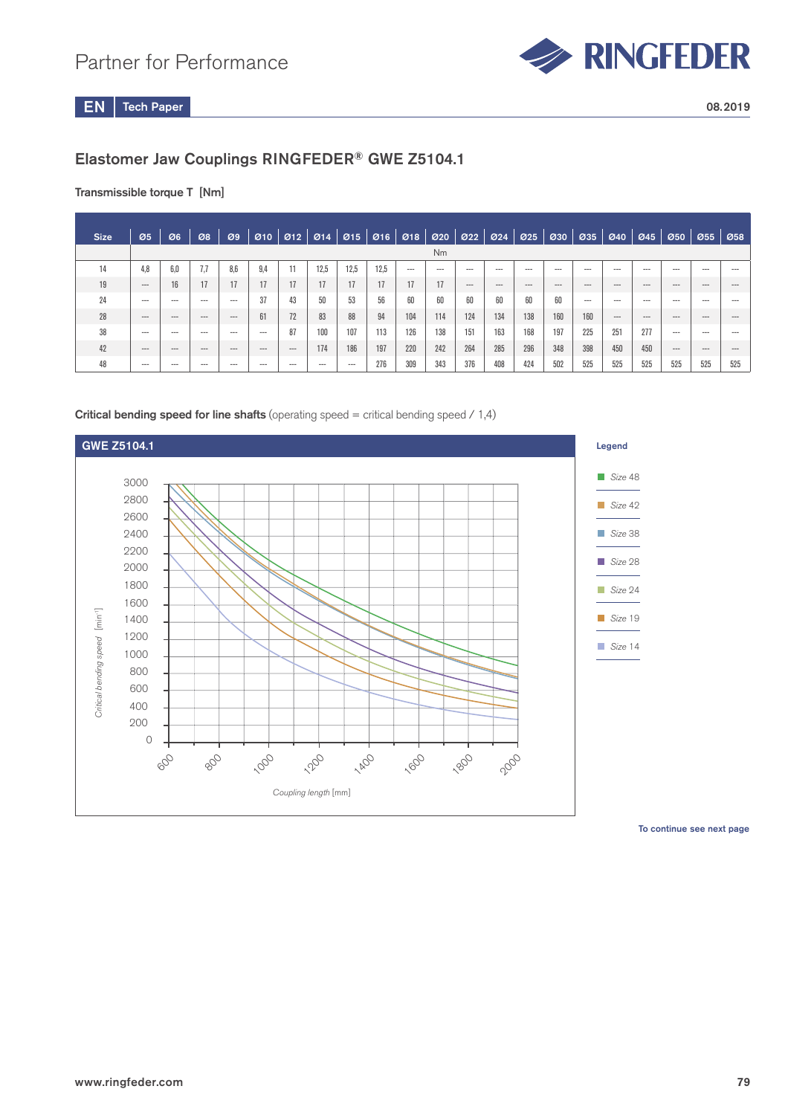

## Elastomer Jaw Couplings RINGFEDER® GWE Z5104.1

### Transmissible torque T [Nm]

| <b>Size</b> | Ø5      | Ø6             | Ø8       | $\mathcal{O}9$ |         |         |         | 010 012 014 015 016 018 020 022 024 025 030 |      |         |         |       |       |        |         | 1035    | 040      | $\varnothing$ 45 | 050     |         | $955$ $958$ |
|-------------|---------|----------------|----------|----------------|---------|---------|---------|---------------------------------------------|------|---------|---------|-------|-------|--------|---------|---------|----------|------------------|---------|---------|-------------|
|             |         | N <sub>m</sub> |          |                |         |         |         |                                             |      |         |         |       |       |        |         |         |          |                  |         |         |             |
| 14          | 4.8     | 6.0            | 7.7      | 8.6            |         | ш       | 12.5    | 12.5                                        | 12,5 | $- - -$ | $- - -$ | $---$ | ---   | $-- -$ | $- - -$ | $--$    | $---$    | $---$            | $---$   | $---$   | ---         |
| 19          | $---$   | 16             | 17       |                | 17      | 17      |         | 17                                          | 17   | 17      | 17      | $---$ | $---$ | $---$  | $---$   | $- - -$ | $- - -$  | $- - -$          | $- - -$ | $- - -$ | $---$       |
| 24          | $--$    | $\cdots$       | $---$    | $---$          | 37      | 43      | 50      | 53                                          | 56   | 60      | 60      | 60    | 60    | 60     | 60      | $---$   | $---$    | $---$            | $---$   | $---$   | $---$       |
| 28          | $---$   | $\cdots$       | $\cdots$ | $---$          | 61      | 72      | 83      | 88                                          | 94   | 104     | 114     | 124   | 134   | 138    | 160     | 160     | $\cdots$ | $---$            | $---$   | $---$   | ---         |
| 38          | $---$   | $- - -$        | $---$    | $- - -$        | $---$   | 87      | 100     | 107                                         | 113  | 126     | 138     | 151   | 163   | 168    | 197     | 225     | 251      | 277              | $---$   | $--$    | ---         |
| 42          | $---$   | $\cdots$       | $\cdots$ | $\cdots$       | $---$   | $---$   | 174     | 186                                         | 197  | 220     | 242     | 264   | 285   | 296    | 348     | 398     | 450      | 450              | $---$   | $---$   | ---         |
| 48          | $- - -$ | $- - -$        | $- - -$  | $- - -$        | $- - -$ | $- - -$ | $- - -$ | $- - -$                                     | 276  | 309     | 343     | 376   | 408   | 424    | 502     | 525     | 525      | 525              | 525     | 525     | 525         |

### **Critical bending speed for line shafts** (operating speed = critical bending speed  $\neq$  1,4)

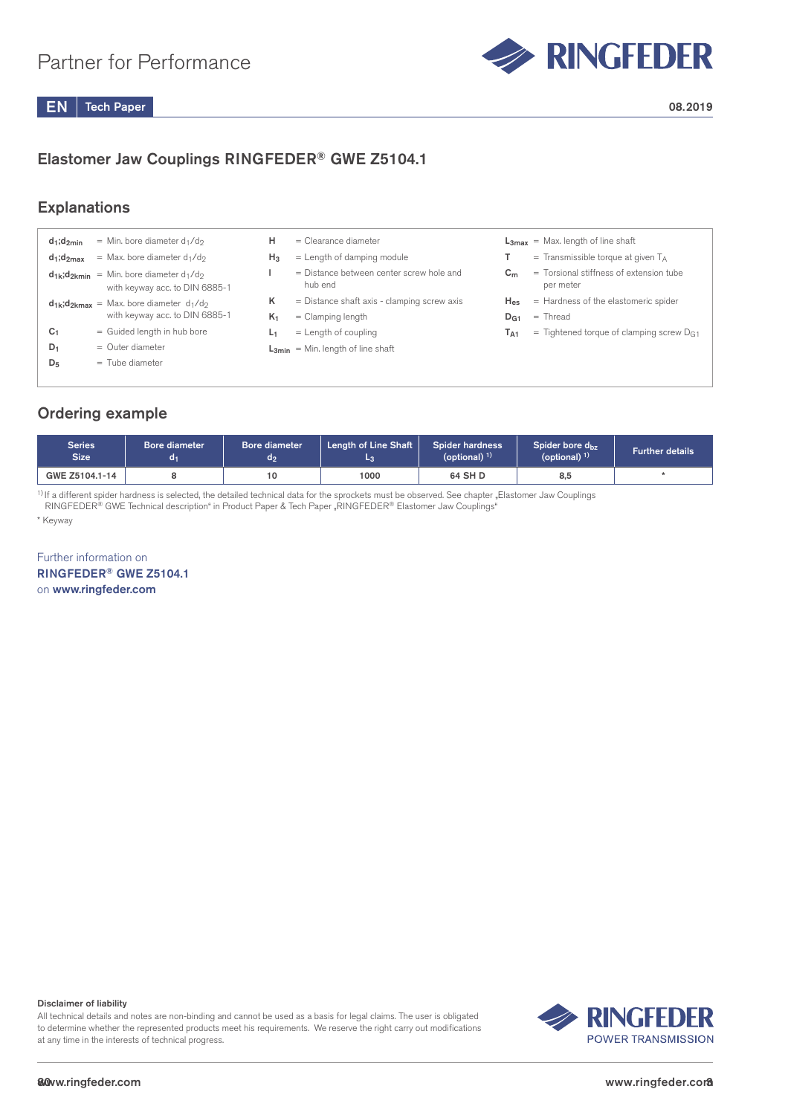

## Elastomer Jaw Couplings RINGFEDER® GWE Z5104.1

## **Explanations**

| $d_1; d_{2min}$ | = Min. bore diameter $d_1/d_2$                                                          | н              | $=$ Clearance diameter                              |                 | $L3max$ = Max. length of line shaft                  |
|-----------------|-----------------------------------------------------------------------------------------|----------------|-----------------------------------------------------|-----------------|------------------------------------------------------|
| $d_1; d_{2max}$ | $=$ Max. bore diameter d <sub>1</sub> /d <sub>2</sub>                                   | $H_3$          | $=$ Length of damping module                        |                 | $=$ Transmissible torque at given $T_A$              |
|                 | $d_{1k}$ ; $d_{2kmin}$ = Min. bore diameter $d_1/d_2$<br>with keyway acc. to DIN 6885-1 |                | = Distance between center screw hole and<br>hub end | C <sub>m</sub>  | = Torsional stiffness of extension tube<br>per meter |
|                 | $d_{1k}$ ; $d_{2kmax}$ = Max. bore diameter $d_1/d_2$                                   | ĸ              | $=$ Distance shaft axis - clamping screw axis       | $H_{\rm es}$    | = Hardness of the elastomeric spider                 |
|                 | with keyway acc. to DIN 6885-1                                                          | K <sub>1</sub> | $=$ Clamping length                                 | D <sub>G1</sub> | $=$ Thread                                           |
| C <sub>1</sub>  | = Guided length in hub bore                                                             | L1             | $=$ Length of coupling                              | TA1             | $=$ Tightened torque of clamping screw $DG1$         |
| $D_1$           | $=$ Outer diameter                                                                      |                | $L_{3min}$ = Min. length of line shaft              |                 |                                                      |
| $D_5$           | $=$ Tube diameter                                                                       |                |                                                     |                 |                                                      |
|                 |                                                                                         |                |                                                     |                 |                                                      |

## Ordering example

| Series<br><b>Size</b> | Bore diameter<br>oκ | Bore diameter<br>a2 | <b>Length of Line Shaft</b> | <b>Spider hardness</b><br>(optional) $1$ ) | Spider bore d <sub>hz</sub><br>(optional) $1$ ) | <b>Further details</b> |
|-----------------------|---------------------|---------------------|-----------------------------|--------------------------------------------|-------------------------------------------------|------------------------|
| GWE Z5104.1-14        |                     | 10                  | 1000                        | 64 SH D                                    | 8,5                                             |                        |

<sup>1)</sup> If a different spider hardness is selected, the detailed technical data for the sprockets must be observed. See chapter "Elastomer Jaw Couplings RINGFEDER® GWE Technical description" in Product Paper & Tech Paper "RINGFEDER® Elastomer Jaw Couplings"

\* Keyway

Further information on RINGFEDER® GWE Z5104.1 on www.ringfeder.com

Disclaimer of liability

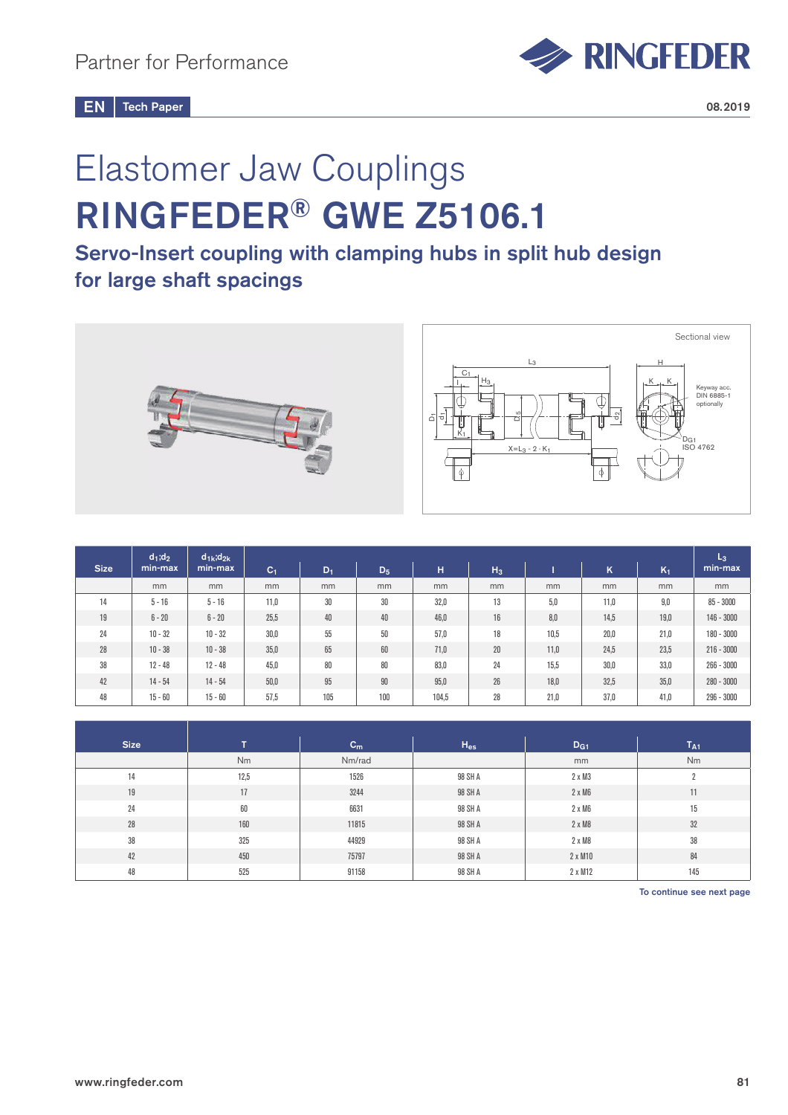

# Elastomer Jaw Couplings RINGFEDER® GWE Z5106.1

Servo-Insert coupling with clamping hubs in split hub design for large shaft spacings



|             | $d_1; d_2$ | $d_{1k}$ ; $d_{2k}$ |                |       |       |       |       |      |      |       | $L_3$        |
|-------------|------------|---------------------|----------------|-------|-------|-------|-------|------|------|-------|--------------|
| <b>Size</b> | min-max    | min-max             | C <sub>1</sub> | $D_1$ | $D_5$ | H     | $H_3$ |      | Κ    | $K_1$ | min-max      |
|             | mm         | mm                  | mm             | mm    | mm    | mm    | mm    | mm   | mm   | mm    | mm           |
| 14          | $5 - 16$   | $5 - 16$            | 11,0           | 30    | 30    | 32,0  | 13    | 5,0  | 11,0 | 9,0   | $85 - 3000$  |
| 19          | $6 - 20$   | $6 - 20$            | 25,5           | 40    | 40    | 46.0  | 16    | 8,0  | 14,5 | 19,0  | $146 - 3000$ |
| 24          | $10 - 32$  | $10 - 32$           | 30,0           | 55    | 50    | 57,0  | 18    | 10.5 | 20,0 | 21,0  | $180 - 3000$ |
| 28          | $10 - 38$  | $10 - 38$           | 35,0           | 65    | 60    | 71.0  | 20    | 11,0 | 24,5 | 23,5  | $216 - 3000$ |
| 38          | $12 - 48$  | $12 - 48$           | 45,0           | 80    | 80    | 83,0  | 24    | 15,5 | 30,0 | 33,0  | $266 - 3000$ |
| 42          | $14 - 54$  | $14 - 54$           | 50,0           | 95    | 90    | 95.0  | 26    | 18,0 | 32,5 | 35,0  | $280 - 3000$ |
| 48          | $15 - 60$  | $15 - 60$           | 57,5           | 105   | 100   | 104,5 | 28    | 21,0 | 37,0 | 41,0  | $296 - 3000$ |

| <b>Size</b> | т    | $C_m$  | $H_{es}$ | D <sub>G1</sub> | $T_{A1}$ |
|-------------|------|--------|----------|-----------------|----------|
|             | Nm   | Nm/rad |          | mm              | Nm       |
| 14          | 12,5 | 1526   | 98 SH A  | $2 \times M3$   | L        |
| 19          | 17   | 3244   | 98 SH A  | $2 \times M6$   | 11       |
| 24          | 60   | 6631   | 98 SH A  | $2 \times M6$   | 15       |
| $28\,$      | 160  | 11815  | 98 SH A  | $2 \times M8$   | 32       |
| 38          | 325  | 44929  | 98 SH A  | 2 x M8          | 38       |
| 42          | 450  | 75797  | 98 SH A  | 2 x M10         | 84       |
| 48          | 525  | 91158  | 98 SH A  | 2 x M12         | 145      |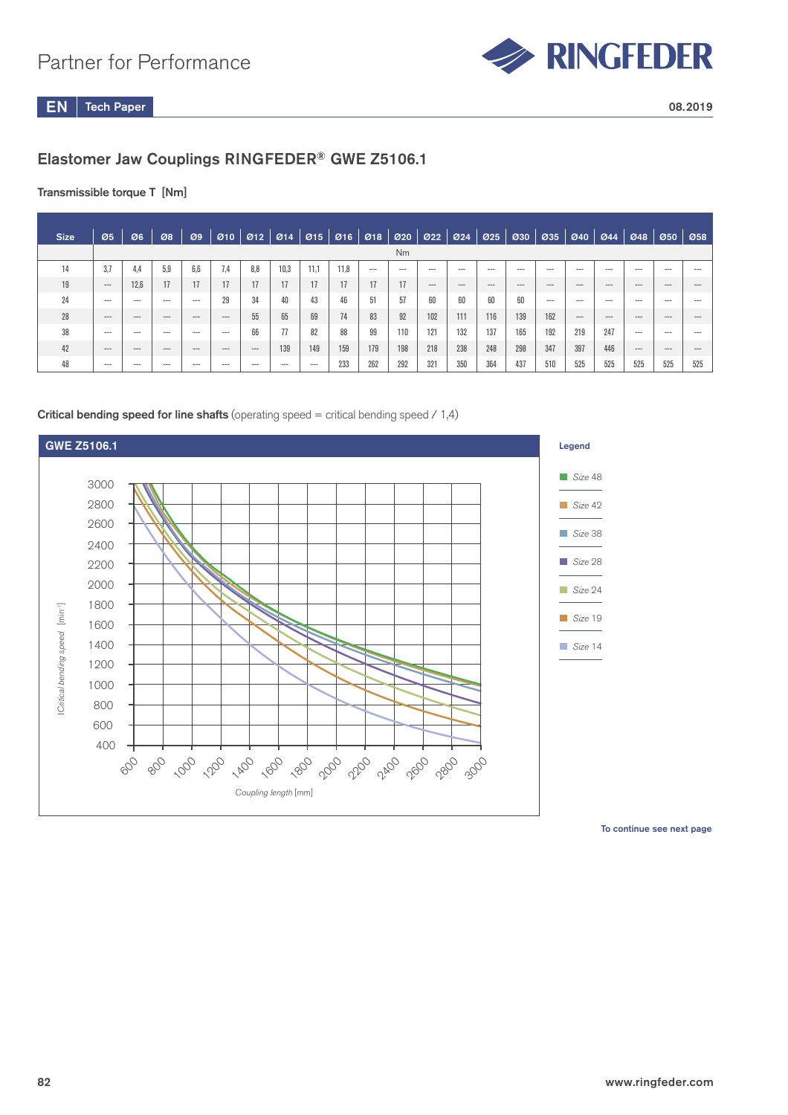

## Elastomer Jaw Couplings RINGFEDER® GWE Z5106.1

### Transmissible torque T [Nm]

| <b>Size</b> | 05       | Ø6      | 08       | Ø9      |          | $010$ $012$ $014$ $015$ $016$ $018$ $020$ |      |       |      |     |       |       | $\mathfrak{O}22$ $\mathfrak{O}24$ | $\varnothing$ 25 | 030      | Ø35      |         | 040 044 048 |          | 050     | $ $ Ø58 |
|-------------|----------|---------|----------|---------|----------|-------------------------------------------|------|-------|------|-----|-------|-------|-----------------------------------|------------------|----------|----------|---------|-------------|----------|---------|---------|
|             |          |         |          |         |          |                                           |      |       |      |     | Nm    |       |                                   |                  |          |          |         |             |          |         |         |
| 14          | 3.7      | 4.4     | 5.9      | 6.6     | 7.4      | 8.8                                       | 10.3 | 11.1  | 11,8 | --- | $---$ | ---   | ---                               | $- - -$          | $---$    | $---$    | $- - -$ | $---$       | $- - -$  | $---$   |         |
| 19          | $---$    | 12.6    | 17       | 17      | 17       | 17                                        | 17   | 17    |      | 17  | 17    | $---$ | $\cdots$                          | $---$            | $\cdots$ | $\cdots$ | $---$   | $---$       | $- - -$  | $---$   | $-$     |
| 24          | $---$    | $--$    | $--$     | $- - -$ | 29       | 34                                        | 40   | 43    | 46   | 51  | 57    | 60    |                                   | 60               | 60       | $---$    | $---$   | $---$       | $---$    | $--$    | $- - -$ |
| 28          | $---$    | $---$   | $\cdots$ | $- - -$ | $---$    | 55                                        | 65   | 69    | 74   | 83  | 92    | 102   | 111                               | 116              | 139      | 162      | $---$   | $---$       | $\cdots$ | $- - -$ | ---     |
| 38          | $---$    | $- - -$ | $--$     | $---$   | $---$    | 66                                        | 77   | 82    | 88   | 99  | 110   | 121   | 132                               | 137              | 165      | 192      | 219     | 247         | $---$    | $- - -$ |         |
| 42          | $\cdots$ | ---     | $---$    | $---$   | $\cdots$ | $\cdots$                                  | 139  | 149   | 159  | 179 | 198   | 218   | 238                               | 248              | 298      | 347      | 397     | 446         | $---$    | $---$   |         |
| 48          | $---$    | $--$    | $-- -$   | $--$    | $---$    | $---$                                     | $--$ | $---$ | 233  | 262 | 292   | 321   | 350                               | 364              | 437      | 510      | 525     | 525         | 525      | 525     | 525     |

### **Critical bending speed for line shafts** (operating speed = critical bending speed  $\neq$  1,4)